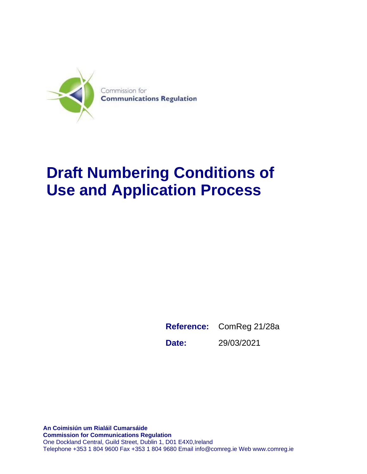

## **Draft Numbering Conditions of Use and Application Process**

**Reference:** ComReg 21/28a **Date:** 29/03/2021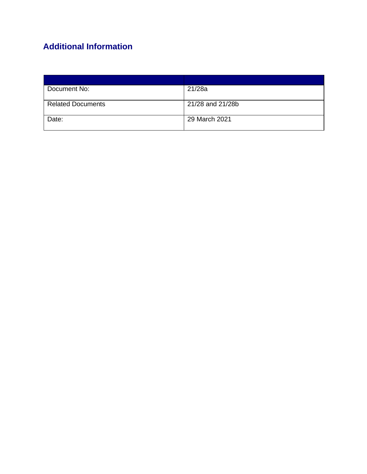## **Additional Information**

| Document No:             | 21/28a           |
|--------------------------|------------------|
|                          |                  |
| <b>Related Documents</b> | 21/28 and 21/28b |
|                          |                  |
| Date:                    | 29 March 2021    |
|                          |                  |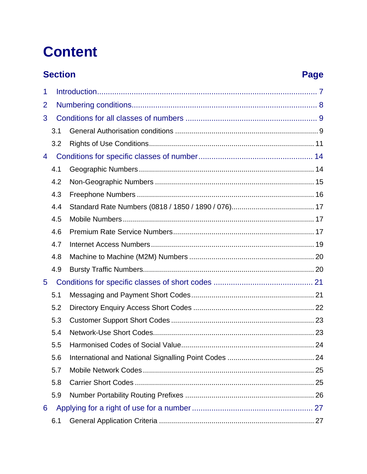## **Content**

## **Section**

## **Page**

| 1           |     |  |  |
|-------------|-----|--|--|
| 2           |     |  |  |
| 3           |     |  |  |
|             | 3.1 |  |  |
|             | 3.2 |  |  |
| 4           |     |  |  |
|             | 4.1 |  |  |
|             | 4.2 |  |  |
|             | 4.3 |  |  |
|             | 4.4 |  |  |
|             | 4.5 |  |  |
|             | 4.6 |  |  |
|             | 4.7 |  |  |
|             | 4.8 |  |  |
|             | 4.9 |  |  |
| $5^{\circ}$ |     |  |  |
|             | 5.1 |  |  |
|             | 5.2 |  |  |
|             | 5.3 |  |  |
|             | 5.4 |  |  |
|             | 5.5 |  |  |
|             | 5.6 |  |  |
|             | 5.7 |  |  |
|             | 5.8 |  |  |
|             | 5.9 |  |  |
| 6           |     |  |  |
|             | 6.1 |  |  |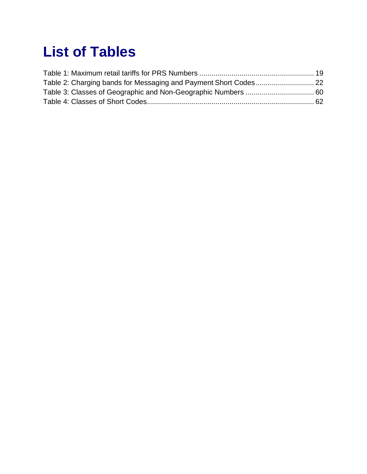## **List of Tables**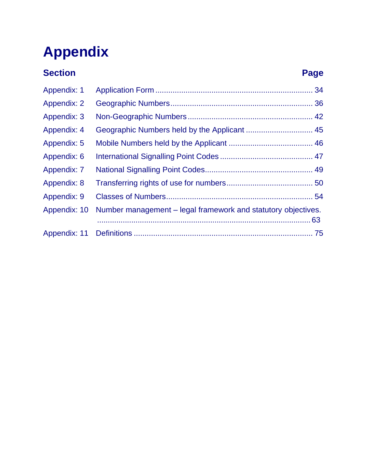# **Appendix**

## **Section Page**

| <b>Appendix: 1</b> |                                                               |  |
|--------------------|---------------------------------------------------------------|--|
| <b>Appendix: 2</b> |                                                               |  |
| Appendix: 3        |                                                               |  |
| <b>Appendix: 4</b> |                                                               |  |
| Appendix: 5        |                                                               |  |
| Appendix: 6        |                                                               |  |
| <b>Appendix: 7</b> |                                                               |  |
| Appendix: 8        |                                                               |  |
| Appendix: 9        |                                                               |  |
| Appendix: 10       | Number management – legal framework and statutory objectives. |  |
|                    |                                                               |  |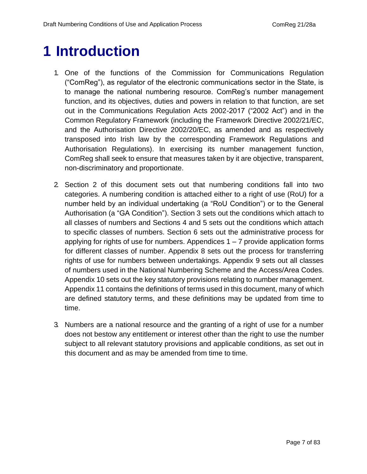## <span id="page-6-0"></span>**1 Introduction**

- 1. One of the functions of the Commission for Communications Regulation ("ComReg"), as regulator of the electronic communications sector in the State, is to manage the national numbering resource. ComReg's number management function, and its objectives, duties and powers in relation to that function, are set out in the Communications Regulation Acts 2002-2017 ("2002 Act") and in the Common Regulatory Framework (including the Framework Directive 2002/21/EC, and the Authorisation Directive 2002/20/EC, as amended and as respectively transposed into Irish law by the corresponding Framework Regulations and Authorisation Regulations). In exercising its number management function, ComReg shall seek to ensure that measures taken by it are objective, transparent, non-discriminatory and proportionate.
- 2. Section 2 of this document sets out that numbering conditions fall into two categories. A numbering condition is attached either to a right of use (RoU) for a number held by an individual undertaking (a "RoU Condition") or to the General Authorisation (a "GA Condition"). Section 3 sets out the conditions which attach to all classes of numbers and Sections 4 and 5 sets out the conditions which attach to specific classes of numbers. Section 6 sets out the administrative process for applying for rights of use for numbers. Appendices  $1 - 7$  provide application forms for different classes of number. Appendix 8 sets out the process for transferring rights of use for numbers between undertakings. Appendix 9 sets out all classes of numbers used in the National Numbering Scheme and the Access/Area Codes. Appendix 10 sets out the key statutory provisions relating to number management. Appendix 11 contains the definitions of terms used in this document, many of which are defined statutory terms, and these definitions may be updated from time to time.
- 3. Numbers are a national resource and the granting of a right of use for a number does not bestow any entitlement or interest other than the right to use the number subject to all relevant statutory provisions and applicable conditions, as set out in this document and as may be amended from time to time.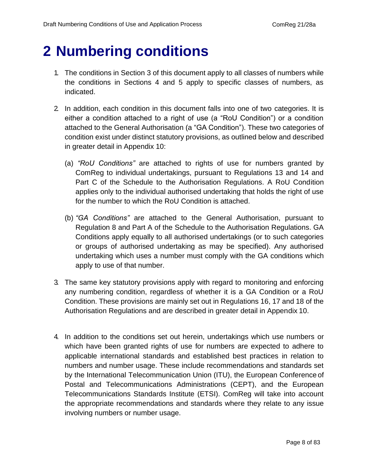## <span id="page-7-0"></span>**2 Numbering conditions**

- 1. The conditions in Section 3 of this document apply to all classes of numbers while the conditions in Sections 4 and 5 apply to specific classes of numbers, as indicated.
- 2. In addition, each condition in this document falls into one of two categories. It is either a condition attached to a right of use (a "RoU Condition") or a condition attached to the General Authorisation (a "GA Condition"). These two categories of condition exist under distinct statutory provisions, as outlined below and described in greater detail in Appendix 10:
	- (a) *"RoU Conditions"* are attached to rights of use for numbers granted by ComReg to individual undertakings, pursuant to Regulations 13 and 14 and Part C of the Schedule to the Authorisation Regulations. A RoU Condition applies only to the individual authorised undertaking that holds the right of use for the number to which the RoU Condition is attached.
	- (b) *"GA Conditions"* are attached to the General Authorisation, pursuant to Regulation 8 and Part A of the Schedule to the Authorisation Regulations. GA Conditions apply equally to all authorised undertakings (or to such categories or groups of authorised undertaking as may be specified). Any authorised undertaking which uses a number must comply with the GA conditions which apply to use of that number.
- 3. The same key statutory provisions apply with regard to monitoring and enforcing any numbering condition, regardless of whether it is a GA Condition or a RoU Condition. These provisions are mainly set out in Regulations 16, 17 and 18 of the Authorisation Regulations and are described in greater detail in Appendix 10.
- 4. In addition to the conditions set out herein, undertakings which use numbers or which have been granted rights of use for numbers are expected to adhere to applicable international standards and established best practices in relation to numbers and number usage. These include recommendations and standards set by the International Telecommunication Union (ITU), the European Conference of Postal and Telecommunications Administrations (CEPT), and the European Telecommunications Standards Institute (ETSI). ComReg will take into account the appropriate recommendations and standards where they relate to any issue involving numbers or number usage.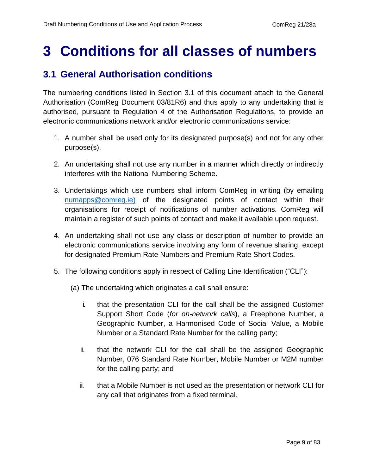## <span id="page-8-0"></span>**3 Conditions for all classes of numbers**

## <span id="page-8-1"></span>**3.1 General Authorisation conditions**

The numbering conditions listed in Section 3.1 of this document attach to the General Authorisation (ComReg Document 03/81R6) and thus apply to any undertaking that is authorised, pursuant to Regulation 4 of the Authorisation Regulations, to provide an electronic communications network and/or electronic communications service:

- 1. A number shall be used only for its designated purpose(s) and not for any other purpose(s).
- 2. An undertaking shall not use any number in a manner which directly or indirectly interferes with the National Numbering Scheme.
- 3. Undertakings which use numbers shall inform ComReg in writing (by emailin[g](mailto:numapps@comreg.ie) [numapps@comreg.ie\)](mailto:numapps@comreg.ie) of the designated points of contact within their organisations for receipt of notifications of number activations. ComReg will maintain a register of such points of contact and make it available upon request.
- 4. An undertaking shall not use any class or description of number to provide an electronic communications service involving any form of revenue sharing, except for designated Premium Rate Numbers and Premium Rate Short Codes.
- 5. The following conditions apply in respect of Calling Line Identification ("CLI"):

(a) The undertaking which originates a call shall ensure:

- i. that the presentation CLI for the call shall be the assigned Customer Support Short Code (*for on-network calls*), a Freephone Number, a Geographic Number, a Harmonised Code of Social Value, a Mobile Number or a Standard Rate Number for the calling party;
- ii. that the network CLI for the call shall be the assigned Geographic Number, 076 Standard Rate Number, Mobile Number or M2M number for the calling party; and
- iii. that a Mobile Number is not used as the presentation or network CLI for any call that originates from a fixed terminal.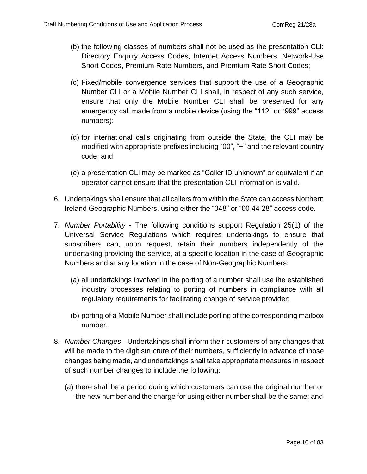- (b) the following classes of numbers shall not be used as the presentation CLI: Directory Enquiry Access Codes, Internet Access Numbers, Network-Use Short Codes, Premium Rate Numbers, and Premium Rate Short Codes;
- (c) Fixed/mobile convergence services that support the use of a Geographic Number CLI or a Mobile Number CLI shall, in respect of any such service, ensure that only the Mobile Number CLI shall be presented for any emergency call made from a mobile device (using the "112" or "999" access numbers);
- (d) for international calls originating from outside the State, the CLI may be modified with appropriate prefixes including "00", "+" and the relevant country code; and
- (e) a presentation CLI may be marked as "Caller ID unknown" or equivalent if an operator cannot ensure that the presentation CLI information is valid.
- 6. Undertakings shall ensure that all callers from within the State can access Northern Ireland Geographic Numbers, using either the "048" or "00 44 28" access code.
- 7. *Number Portability*  The following conditions support Regulation 25(1) of the Universal Service Regulations which requires undertakings to ensure that subscribers can, upon request, retain their numbers independently of the undertaking providing the service, at a specific location in the case of Geographic Numbers and at any location in the case of Non-Geographic Numbers:
	- (a) all undertakings involved in the porting of a number shall use the established industry processes relating to porting of numbers in compliance with all regulatory requirements for facilitating change of service provider;
	- (b) porting of a Mobile Number shall include porting of the corresponding mailbox number.
- 8. *Number Changes* Undertakings shall inform their customers of any changes that will be made to the digit structure of their numbers, sufficiently in advance of those changes being made, and undertakings shall take appropriate measures in respect of such number changes to include the following:
	- (a) there shall be a period during which customers can use the original number or the new number and the charge for using either number shall be the same; and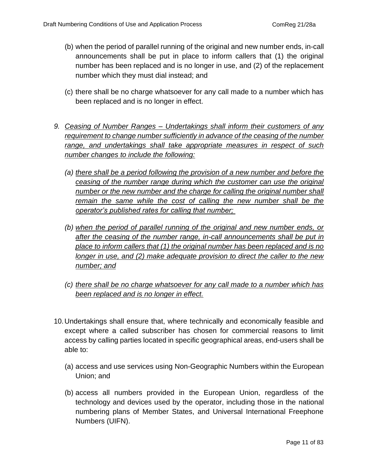- (b) when the period of parallel running of the original and new number ends, in-call announcements shall be put in place to inform callers that (1) the original number has been replaced and is no longer in use, and (2) of the replacement number which they must dial instead; and
- (c) there shall be no charge whatsoever for any call made to a number which has been replaced and is no longer in effect.
- *9. Ceasing of Number Ranges – Undertakings shall inform their customers of any requirement to change number sufficiently in advance of the ceasing of the number range, and undertakings shall take appropriate measures in respect of such number changes to include the following:*
	- *(a) there shall be a period following the provision of a new number and before the ceasing of the number range during which the customer can use the original number or the new number and the charge for calling the original number shall remain the same while the cost of calling the new number shall be the operator's published rates for calling that number;*
	- *(b) when the period of parallel running of the original and new number ends, or after the ceasing of the number range, in-call announcements shall be put in place to inform callers that (1) the original number has been replaced and is no longer in use, and (2) make adequate provision to direct the caller to the new number; and*
	- *(c) there shall be no charge whatsoever for any call made to a number which has been replaced and is no longer in effect.*
- 10.Undertakings shall ensure that, where technically and economically feasible and except where a called subscriber has chosen for commercial reasons to limit access by calling parties located in specific geographical areas, end-users shall be able to:
	- (a) access and use services using Non-Geographic Numbers within the European Union; and
	- (b) access all numbers provided in the European Union, regardless of the technology and devices used by the operator, including those in the national numbering plans of Member States, and Universal International Freephone Numbers (UIFN).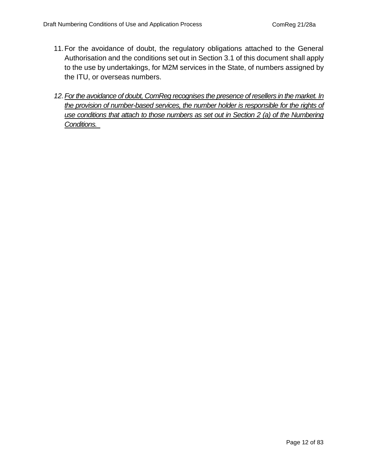- 11.For the avoidance of doubt, the regulatory obligations attached to the General Authorisation and the conditions set out in Section 3.1 of this document shall apply to the use by undertakings, for M2M services in the State, of numbers assigned by the ITU, or overseas numbers.
- 12. For the avoidance of doubt, ComReg recognises the presence of resellers in the market. In *the provision of number-based services, the number holder is responsible for the rights of use conditions that attach to those numbers as set out in Section 2 (a) of the Numbering Conditions.*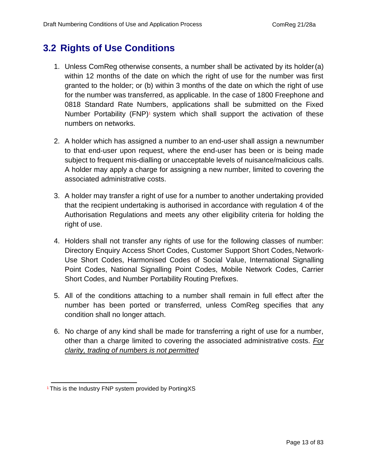## <span id="page-12-0"></span>**3.2 Rights of Use Conditions**

- 1. Unless ComReg otherwise consents, a number shall be activated by its holder(a) within 12 months of the date on which the right of use for the number was first granted to the holder; or (b) within 3 months of the date on which the right of use for the number was transferred, as applicable. In the case of 1800 Freephone and 0818 Standard Rate Numbers, applications shall be submitted on the Fixed Number Portability  $(FNP)^1$  system which shall support the activation of these numbers on networks.
- 2. A holder which has assigned a number to an end-user shall assign a newnumber to that end-user upon request, where the end-user has been or is being made subject to frequent mis-dialling or unacceptable levels of nuisance/malicious calls. A holder may apply a charge for assigning a new number, limited to covering the associated administrative costs.
- 3. A holder may transfer a right of use for a number to another undertaking provided that the recipient undertaking is authorised in accordance with regulation 4 of the Authorisation Regulations and meets any other eligibility criteria for holding the right of use.
- 4. Holders shall not transfer any rights of use for the following classes of number: Directory Enquiry Access Short Codes, Customer Support Short Codes, Network-Use Short Codes, Harmonised Codes of Social Value, International Signalling Point Codes, National Signalling Point Codes, Mobile Network Codes, Carrier Short Codes, and Number Portability Routing Prefixes.
- 5. All of the conditions attaching to a number shall remain in full effect after the number has been ported or transferred, unless ComReg specifies that any condition shall no longer attach.
- 6. No charge of any kind shall be made for transferring a right of use for a number, other than a charge limited to covering the associated administrative costs. *For clarity, trading of numbers is not permitted*

<sup>&</sup>lt;sup>1</sup> This is the Industry FNP system provided by PortingXS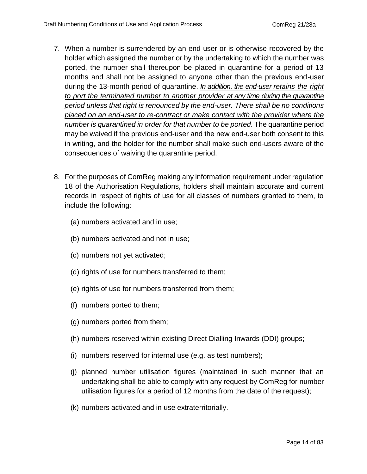- 7. When a number is surrendered by an end-user or is otherwise recovered by the holder which assigned the number or by the undertaking to which the number was ported, the number shall thereupon be placed in quarantine for a period of 13 months and shall not be assigned to anyone other than the previous end-user during the 13-month period of quarantine. *In addition, the end-user retains the right to port the terminated number to another provider at any time during the quarantine period unless that right is renounced by the end-user. There shall be no conditions placed on an end-user to re-contract or make contact with the provider where the number is quarantined in order for that number to be ported.* The quarantine period may be waived if the previous end-user and the new end-user both consent to this in writing, and the holder for the number shall make such end-users aware of the consequences of waiving the quarantine period.
- 8. For the purposes of ComReg making any information requirement under regulation 18 of the Authorisation Regulations, holders shall maintain accurate and current records in respect of rights of use for all classes of numbers granted to them, to include the following:
	- (a) numbers activated and in use;
	- (b) numbers activated and not in use;
	- (c) numbers not yet activated;
	- (d) rights of use for numbers transferred to them;
	- (e) rights of use for numbers transferred from them;
	- (f) numbers ported to them;
	- (g) numbers ported from them;
	- (h) numbers reserved within existing Direct Dialling Inwards (DDI) groups;
	- (i) numbers reserved for internal use (e.g. as test numbers);
	- (j) planned number utilisation figures (maintained in such manner that an undertaking shall be able to comply with any request by ComReg for number utilisation figures for a period of 12 months from the date of the request);
	- (k) numbers activated and in use extraterritorially.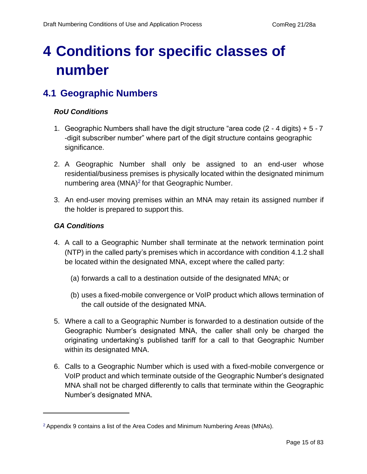## <span id="page-14-0"></span>**4 Conditions for specific classes of number**

## <span id="page-14-1"></span>**4.1 Geographic Numbers**

#### *RoU Conditions*

- 1. Geographic Numbers shall have the digit structure "area code (2 4 digits) + 5 7 -digit subscriber number" where part of the digit structure contains geographic significance.
- 2. A Geographic Number shall only be assigned to an end-user whose residential/business premises is physically located within the designated minimum numbering area  $(MNA)^2$  for that Geographic Number.
- 3. An end-user moving premises within an MNA may retain its assigned number if the holder is prepared to support this.

#### *GA Conditions*

- 4. A call to a Geographic Number shall terminate at the network termination point (NTP) in the called party's premises which in accordance with condition 4.1.2 shall be located within the designated MNA, except where the called party:
	- (a) forwards a call to a destination outside of the designated MNA; or
	- (b) uses a fixed-mobile convergence or VoIP product which allows termination of the call outside of the designated MNA.
- 5. Where a call to a Geographic Number is forwarded to a destination outside of the Geographic Number's designated MNA, the caller shall only be charged the originating undertaking's published tariff for a call to that Geographic Number within its designated MNA.
- 6. Calls to a Geographic Number which is used with a fixed-mobile convergence or VoIP product and which terminate outside of the Geographic Number's designated MNA shall not be charged differently to calls that terminate within the Geographic Number's designated MNA.

<sup>2</sup>Appendix 9 contains a list of the Area Codes and Minimum Numbering Areas (MNAs).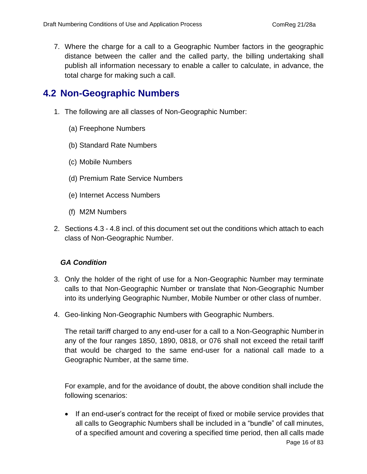7. Where the charge for a call to a Geographic Number factors in the geographic distance between the caller and the called party, the billing undertaking shall publish all information necessary to enable a caller to calculate, in advance, the total charge for making such a call.

## <span id="page-15-0"></span>**4.2 Non-Geographic Numbers**

- 1. The following are all classes of Non-Geographic Number:
	- (a) Freephone Numbers
	- (b) Standard Rate Numbers
	- (c) Mobile Numbers
	- (d) Premium Rate Service Numbers
	- (e) Internet Access Numbers
	- (f) M2M Numbers
- 2. Sections 4.3 4.8 incl. of this document set out the conditions which attach to each class of Non-Geographic Number.

#### *GA Condition*

- 3. Only the holder of the right of use for a Non-Geographic Number may terminate calls to that Non-Geographic Number or translate that Non-Geographic Number into its underlying Geographic Number, Mobile Number or other class of number.
- 4. Geo-linking Non-Geographic Numbers with Geographic Numbers.

The retail tariff charged to any end-user for a call to a Non-Geographic Numberin any of the four ranges 1850, 1890, 0818, or 076 shall not exceed the retail tariff that would be charged to the same end-user for a national call made to a Geographic Number, at the same time.

For example, and for the avoidance of doubt, the above condition shall include the following scenarios:

• If an end-user's contract for the receipt of fixed or mobile service provides that all calls to Geographic Numbers shall be included in a "bundle" of call minutes, of a specified amount and covering a specified time period, then all calls made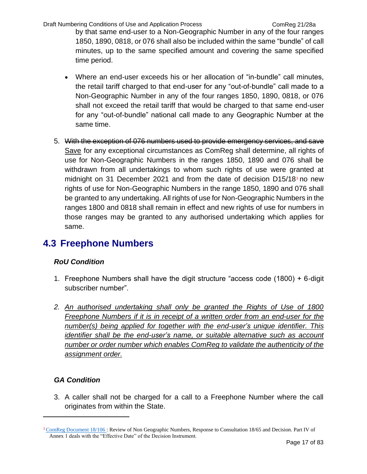Draft Numbering Conditions of Use and Application Process Com ComReg 21/28a

by that same end-user to a Non-Geographic Number in any of the four ranges 1850, 1890, 0818, or 076 shall also be included within the same "bundle" of call minutes, up to the same specified amount and covering the same specified time period.

- Where an end-user exceeds his or her allocation of "in-bundle" call minutes, the retail tariff charged to that end-user for any "out-of-bundle" call made to a Non-Geographic Number in any of the four ranges 1850, 1890, 0818, or 076 shall not exceed the retail tariff that would be charged to that same end-user for any "out-of-bundle" national call made to any Geographic Number at the same time.
- 5. With the exception of 076 numbers used to provide emergency services, and save Save for any exceptional circumstances as ComReg shall determine, all rights of use for Non-Geographic Numbers in the ranges 1850, 1890 and 076 shall be withdrawn from all undertakings to whom such rights of use were granted at midnight on 31 December 2021 and from the date of decision  $D15/18<sup>3</sup>$  no new rights of use for Non-Geographic Numbers in the range 1850, 1890 and 076 shall be granted to any undertaking. All rights of use for Non-Geographic Numbers in the ranges 1800 and 0818 shall remain in effect and new rights of use for numbers in those ranges may be granted to any authorised undertaking which applies for same.

### <span id="page-16-0"></span>**4.3 Freephone Numbers**

#### *RoU Condition*

- 1. Freephone Numbers shall have the digit structure "access code (1800) + 6-digit subscriber number".
- *2. An authorised undertaking shall only be granted the Rights of Use of 1800 Freephone Numbers if it is in receipt of a written order from an end-user for the number(s) being applied for together with the end-user's unique identifier. This identifier shall be the end-user's name, or suitable alternative such as account number or order number which enables ComReg to validate the authenticity of the assignment order.*

### *GA Condition*

3. A caller shall not be charged for a call to a Freephone Number where the call originates from within the State.

<sup>&</sup>lt;sup>3</sup> [ComReg Document 18/106 : R](https://www.comreg.ie/publication-download/review-of-non-geographic-numbers-response-to-consultation-18-65-and-decision)eview of Non Geographic Numbers, Response to Consultation 18/65 and Decision. Part IV of Annex 1 deals with the "Effective Date" of the Decision Instrument.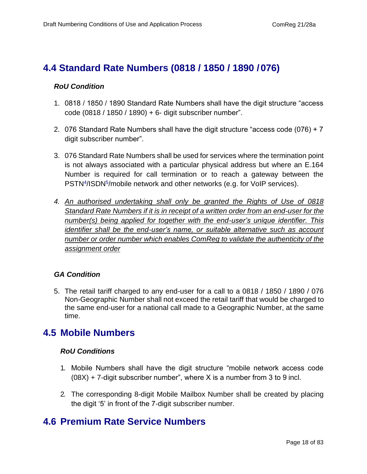### <span id="page-17-0"></span>**4.4 Standard Rate Numbers (0818 / 1850 / 1890 /076)**

#### *RoU Condition*

- 1. 0818 / 1850 / 1890 Standard Rate Numbers shall have the digit structure "access code (0818 / 1850 / 1890) + 6- digit subscriber number".
- 2. 076 Standard Rate Numbers shall have the digit structure "access code (076) + 7 digit subscriber number".
- 3. 076 Standard Rate Numbers shall be used for services where the termination point is not always associated with a particular physical address but where an E.164 Number is required for call termination or to reach a gateway between the PSTN<sup>4</sup>/ISDN<sup>5</sup>/mobile network and other networks (e.g. for VoIP services).
- *4. An authorised undertaking shall only be granted the Rights of Use of 0818 Standard Rate Numbers if it is in receipt of a written order from an end-user for the number(s) being applied for together with the end-user's unique identifier. This identifier shall be the end-user's name, or suitable alternative such as account number or order number which enables ComReg to validate the authenticity of the assignment order*

#### *GA Condition*

5. The retail tariff charged to any end-user for a call to a 0818 / 1850 / 1890 / 076 Non-Geographic Number shall not exceed the retail tariff that would be charged to the same end-user for a national call made to a Geographic Number, at the same time.

### <span id="page-17-1"></span>**4.5 Mobile Numbers**

#### *RoU Conditions*

- 1. Mobile Numbers shall have the digit structure "mobile network access code  $(08X) + 7$ -digit subscriber number", where X is a number from 3 to 9 incl.
- 2. The corresponding 8-digit Mobile Mailbox Number shall be created by placing the digit '5' in front of the 7-digit subscriber number.

### <span id="page-17-2"></span>**4.6 Premium Rate Service Numbers**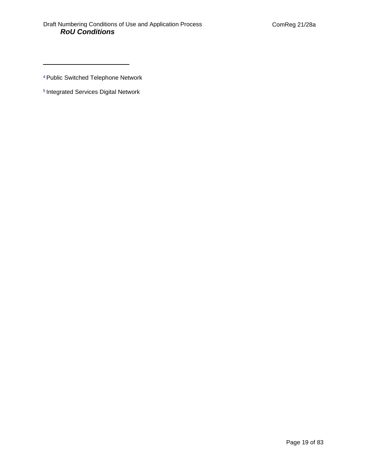<sup>4</sup>Public Switched Telephone Network

5 Integrated Services Digital Network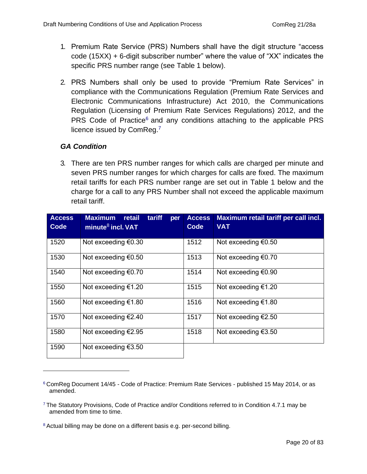- 1. Premium Rate Service (PRS) Numbers shall have the digit structure "access code (15XX) + 6-digit subscriber number" where the value of "XX" indicates the specific PRS number range (see Table 1 below).
- 2. PRS Numbers shall only be used to provide "Premium Rate Services" in compliance with the Communications Regulation (Premium Rate Services and Electronic Communications Infrastructure) Act 2010, the Communications Regulation (Licensing of Premium Rate Services Regulations) 2012, and the PRS Code of Practice<sup>6</sup> and any conditions attaching to the applicable PRS licence issued by ComReg.<sup>7</sup>

#### *GA Condition*

3. There are ten PRS number ranges for which calls are charged per minute and seven PRS number ranges for which charges for calls are fixed. The maximum retail tariffs for each PRS number range are set out in Table 1 below and the charge for a call to any PRS Number shall not exceed the applicable maximum retail tariff.

| <b>Access</b><br>Code | <b>Maximum</b><br>retail<br>tariff<br>per<br>minute $8$ incl. VAT | <b>Access</b><br>Code | Maximum retail tariff per call incl.<br><b>VAT</b> |
|-----------------------|-------------------------------------------------------------------|-----------------------|----------------------------------------------------|
| 1520                  | Not exceeding $€0.30$                                             | 1512                  | Not exceeding $€0.50$                              |
| 1530                  | Not exceeding $€0.50$                                             | 1513                  | Not exceeding $€0.70$                              |
| 1540                  | Not exceeding €0.70                                               | 1514                  | Not exceeding $\epsilon$ 0.90                      |
| 1550                  | Not exceeding $€1.20$                                             | 1515                  | Not exceeding $€1.20$                              |
| 1560                  | Not exceeding $€1.80$                                             | 1516                  | Not exceeding $€1.80$                              |
| 1570                  | Not exceeding €2.40                                               | 1517                  | Not exceeding $E$ 2.50                             |
| 1580                  | Not exceeding $€2.95$                                             | 1518                  | Not exceeding $€3.50$                              |
| 1590                  | Not exceeding $€3.50$                                             |                       |                                                    |

 $6$  ComReg Document 14/45 - Code of Practice: Premium Rate Services - published 15 May 2014, or as amended.

<sup>7</sup>The Statutory Provisions, Code of Practice and/or Conditions referred to in Condition 4.7.1 may be amended from time to time.

<sup>&</sup>lt;sup>8</sup> Actual billing may be done on a different basis e.g. per-second billing.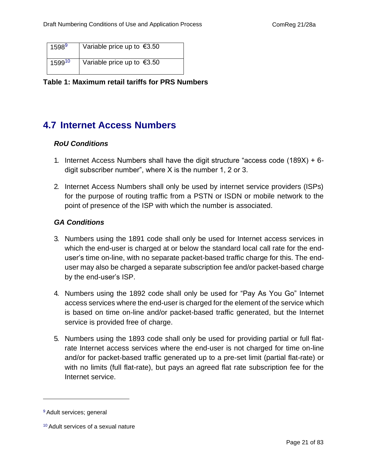| $1598^9$ | Variable price up to $\epsilon$ 3.50 |
|----------|--------------------------------------|
| 159910   | Variable price up to $€3.50$         |

<span id="page-20-1"></span>**Table 1: Maximum retail tariffs for PRS Numbers**

## <span id="page-20-0"></span>**4.7 Internet Access Numbers**

#### *RoU Conditions*

- 1. Internet Access Numbers shall have the digit structure "access code (189X) + 6 digit subscriber number", where X is the number 1, 2 or 3.
- 2. Internet Access Numbers shall only be used by internet service providers (ISPs) for the purpose of routing traffic from a PSTN or ISDN or mobile network to the point of presence of the ISP with which the number is associated.

#### *GA Conditions*

- 3. Numbers using the 1891 code shall only be used for Internet access services in which the end-user is charged at or below the standard local call rate for the enduser's time on-line, with no separate packet-based traffic charge for this. The enduser may also be charged a separate subscription fee and/or packet-based charge by the end-user's ISP.
- 4. Numbers using the 1892 code shall only be used for "Pay As You Go" Internet access services where the end-user is charged for the element of the service which is based on time on-line and/or packet-based traffic generated, but the Internet service is provided free of charge.
- 5. Numbers using the 1893 code shall only be used for providing partial or full flatrate Internet access services where the end-user is not charged for time on-line and/or for packet-based traffic generated up to a pre-set limit (partial flat-rate) or with no limits (full flat-rate), but pays an agreed flat rate subscription fee for the Internet service.

<sup>&</sup>lt;sup>9</sup> Adult services; general

<sup>10</sup> Adult services of a sexual nature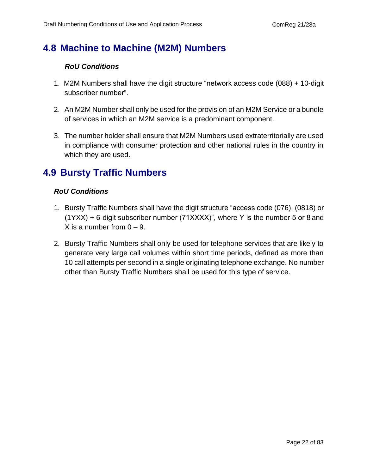## <span id="page-21-0"></span>**4.8 Machine to Machine (M2M) Numbers**

#### *RoU Conditions*

- 1. M2M Numbers shall have the digit structure "network access code (088) + 10-digit subscriber number".
- 2. An M2M Number shall only be used for the provision of an M2M Service or a bundle of services in which an M2M service is a predominant component.
- 3. The number holder shall ensure that M2M Numbers used extraterritorially are used in compliance with consumer protection and other national rules in the country in which they are used.

### <span id="page-21-1"></span>**4.9 Bursty Traffic Numbers**

#### *RoU Conditions*

- 1. Bursty Traffic Numbers shall have the digit structure "access code (076), (0818) or (1YXX) + 6-digit subscriber number (71XXXX)", where Y is the number 5 or 8 and X is a number from  $0 - 9$ .
- 2. Bursty Traffic Numbers shall only be used for telephone services that are likely to generate very large call volumes within short time periods, defined as more than 10 call attempts per second in a single originating telephone exchange. No number other than Bursty Traffic Numbers shall be used for this type of service.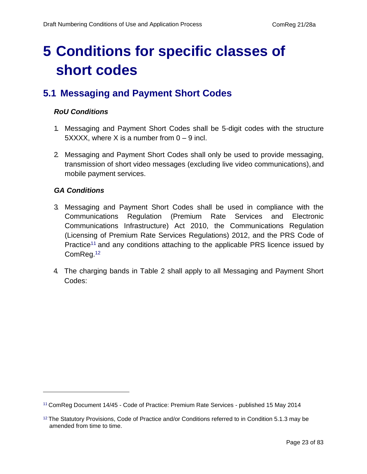## <span id="page-22-0"></span>**5 Conditions for specific classes of short codes**

## <span id="page-22-1"></span>**5.1 Messaging and Payment Short Codes**

#### *RoU Conditions*

- 1. Messaging and Payment Short Codes shall be 5-digit codes with the structure  $5XXX$ , where X is a number from  $0 - 9$  incl.
- 2. Messaging and Payment Short Codes shall only be used to provide messaging, transmission of short video messages (excluding live video communications), and mobile payment services.

#### *GA Conditions*

- 3. Messaging and Payment Short Codes shall be used in compliance with the Communications Regulation (Premium Rate Services and Electronic Communications Infrastructure) Act 2010, the Communications Regulation (Licensing of Premium Rate Services Regulations) 2012, and the PRS Code of Practice<sup>11</sup> and any conditions attaching to the applicable PRS licence issued by ComReg.<sup>12</sup>
- 4. The charging bands in Table 2 shall apply to all Messaging and Payment Short Codes:

<sup>&</sup>lt;sup>11</sup> ComReg Document 14/45 - Code of Practice: Premium Rate Services - published 15 May 2014

 $12$  The Statutory Provisions, Code of Practice and/or Conditions referred to in Condition 5.1.3 may be amended from time to time.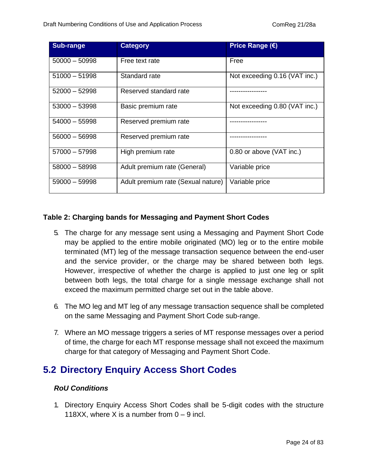| <b>Sub-range</b> | <b>Category</b>                    | <b>Price Range (€)</b>        |
|------------------|------------------------------------|-------------------------------|
| $50000 - 50998$  | Free text rate                     | Free                          |
| $51000 - 51998$  | Standard rate                      | Not exceeding 0.16 (VAT inc.) |
| $52000 - 52998$  | Reserved standard rate             |                               |
| $53000 - 53998$  | Basic premium rate                 | Not exceeding 0.80 (VAT inc.) |
| $54000 - 55998$  | Reserved premium rate              |                               |
| $56000 - 56998$  | Reserved premium rate              |                               |
| $57000 - 57998$  | High premium rate                  | 0.80 or above (VAT inc.)      |
| $58000 - 58998$  | Adult premium rate (General)       | Variable price                |
| $59000 - 59998$  | Adult premium rate (Sexual nature) | Variable price                |

#### <span id="page-23-1"></span>**Table 2: Charging bands for Messaging and Payment Short Codes**

- 5. The charge for any message sent using a Messaging and Payment Short Code may be applied to the entire mobile originated (MO) leg or to the entire mobile terminated (MT) leg of the message transaction sequence between the end-user and the service provider, or the charge may be shared between both legs. However, irrespective of whether the charge is applied to just one leg or split between both legs, the total charge for a single message exchange shall not exceed the maximum permitted charge set out in the table above.
- 6. The MO leg and MT leg of any message transaction sequence shall be completed on the same Messaging and Payment Short Code sub-range.
- 7. Where an MO message triggers a series of MT response messages over a period of time, the charge for each MT response message shall not exceed the maximum charge for that category of Messaging and Payment Short Code.

### <span id="page-23-0"></span>**5.2 Directory Enquiry Access Short Codes**

#### *RoU Conditions*

1. Directory Enquiry Access Short Codes shall be 5-digit codes with the structure 118XX, where X is a number from  $0 - 9$  incl.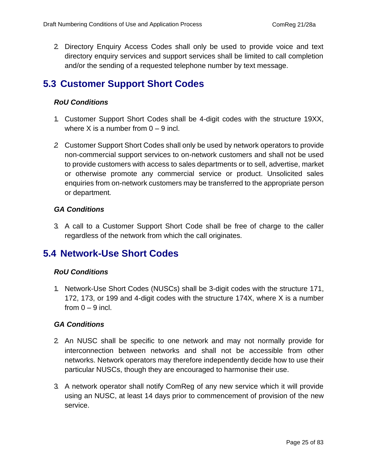2. Directory Enquiry Access Codes shall only be used to provide voice and text directory enquiry services and support services shall be limited to call completion and/or the sending of a requested telephone number by text message.

## <span id="page-24-0"></span>**5.3 Customer Support Short Codes**

#### *RoU Conditions*

- 1. Customer Support Short Codes shall be 4-digit codes with the structure 19XX, where X is a number from  $0 - 9$  incl.
- *2.* Customer Support Short Codes shall only be used by network operators to provide non-commercial support services to on-network customers and shall not be used to provide customers with access to sales departments or to sell, advertise, market or otherwise promote any commercial service or product. Unsolicited sales enquiries from on-network customers may be transferred to the appropriate person or department*.*

#### *GA Conditions*

3. A call to a Customer Support Short Code shall be free of charge to the caller regardless of the network from which the call originates.

### <span id="page-24-1"></span>**5.4 Network-Use Short Codes**

#### *RoU Conditions*

1. Network-Use Short Codes (NUSCs) shall be 3-digit codes with the structure 171, 172, 173, or 199 and 4-digit codes with the structure 174X, where X is a number from  $0 - 9$  incl.

#### *GA Conditions*

- 2. An NUSC shall be specific to one network and may not normally provide for interconnection between networks and shall not be accessible from other networks. Network operators may therefore independently decide how to use their particular NUSCs, though they are encouraged to harmonise their use.
- 3. A network operator shall notify ComReg of any new service which it will provide using an NUSC, at least 14 days prior to commencement of provision of the new service.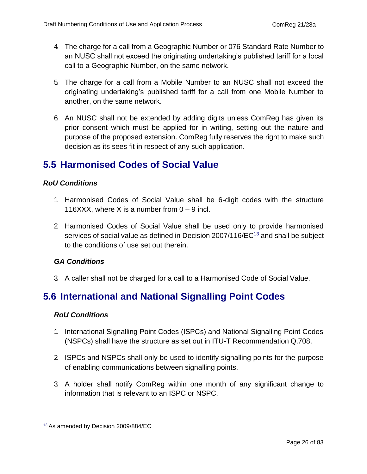- 4. The charge for a call from a Geographic Number or 076 Standard Rate Number to an NUSC shall not exceed the originating undertaking's published tariff for a local call to a Geographic Number, on the same network.
- 5. The charge for a call from a Mobile Number to an NUSC shall not exceed the originating undertaking's published tariff for a call from one Mobile Number to another, on the same network.
- 6. An NUSC shall not be extended by adding digits unless ComReg has given its prior consent which must be applied for in writing, setting out the nature and purpose of the proposed extension. ComReg fully reserves the right to make such decision as its sees fit in respect of any such application.

## <span id="page-25-0"></span>**5.5 Harmonised Codes of Social Value**

#### *RoU Conditions*

- 1. Harmonised Codes of Social Value shall be 6-digit codes with the structure 116XXX, where X is a number from  $0 - 9$  incl.
- 2. Harmonised Codes of Social Value shall be used only to provide harmonised services of social value as defined in Decision 2007/116/EC<sup>13</sup> and shall be subject to the conditions of use set out therein.

#### *GA Conditions*

3. A caller shall not be charged for a call to a Harmonised Code of Social Value.

## <span id="page-25-1"></span>**5.6 International and National Signalling Point Codes**

#### *RoU Conditions*

- 1. International Signalling Point Codes (ISPCs) and National Signalling Point Codes (NSPCs) shall have the structure as set out in ITU-T Recommendation Q.708.
- 2. ISPCs and NSPCs shall only be used to identify signalling points for the purpose of enabling communications between signalling points.
- 3. A holder shall notify ComReg within one month of any significant change to information that is relevant to an ISPC or NSPC.

<sup>13</sup> As amended by Decision 2009/884/EC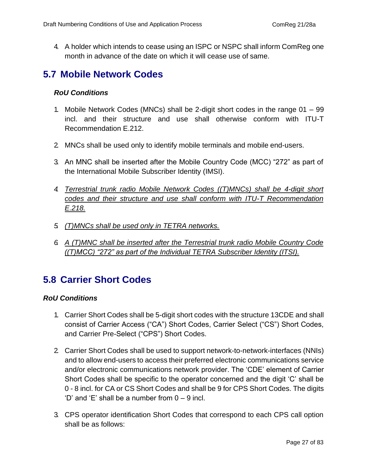4. A holder which intends to cease using an ISPC or NSPC shall inform ComReg one month in advance of the date on which it will cease use of same.

## <span id="page-26-0"></span>**5.7 Mobile Network Codes**

#### *RoU Conditions*

- 1. Mobile Network Codes (MNCs) shall be 2-digit short codes in the range 01 99 incl. and their structure and use shall otherwise conform with ITU-T Recommendation E.212.
- 2. MNCs shall be used only to identify mobile terminals and mobile end-users.
- 3. An MNC shall be inserted after the Mobile Country Code (MCC) "272" as part of the International Mobile Subscriber Identity (IMSI).
- *4. Terrestrial trunk radio Mobile Network Codes ((T)MNCs) shall be 4-digit short codes and their structure and use shall conform with ITU-T Recommendation E.218.*
- *5. (T)MNCs shall be used only in TETRA networks.*
- *6. A (T)MNC shall be inserted after the Terrestrial trunk radio Mobile Country Code ((T)MCC) "272" as part of the Individual TETRA Subscriber Identity (ITSI).*

## <span id="page-26-1"></span>**5.8 Carrier Short Codes**

#### *RoU Conditions*

- 1. Carrier Short Codes shall be 5-digit short codes with the structure 13CDE and shall consist of Carrier Access ("CA") Short Codes, Carrier Select ("CS") Short Codes, and Carrier Pre-Select ("CPS") Short Codes.
- 2. Carrier Short Codes shall be used to support network-to-network-interfaces (NNIs) and to allow end-users to access their preferred electronic communications service and/or electronic communications network provider. The 'CDE' element of Carrier Short Codes shall be specific to the operator concerned and the digit 'C' shall be 0 - 8 incl. for CA or CS Short Codes and shall be 9 for CPS Short Codes. The digits  $'D'$  and  $'E'$  shall be a number from  $0 - 9$  incl.
- 3. CPS operator identification Short Codes that correspond to each CPS call option shall be as follows: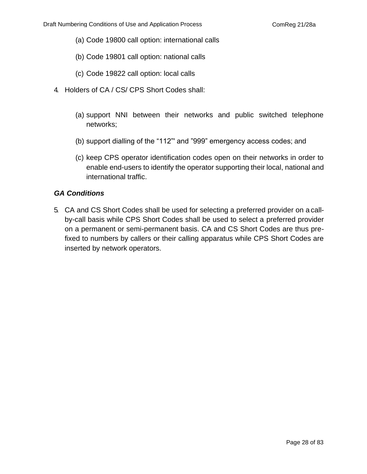- (a) Code 19800 call option: international calls
- (b) Code 19801 call option: national calls
- (c) Code 19822 call option: local calls
- 4. Holders of CA / CS/ CPS Short Codes shall:
	- (a) support NNI between their networks and public switched telephone networks;
	- (b) support dialling of the "112"' and "999" emergency access codes; and
	- (c) keep CPS operator identification codes open on their networks in order to enable end-users to identify the operator supporting their local, national and international traffic.

#### *GA Conditions*

5. CA and CS Short Codes shall be used for selecting a preferred provider on a callby-call basis while CPS Short Codes shall be used to select a preferred provider on a permanent or semi-permanent basis. CA and CS Short Codes are thus prefixed to numbers by callers or their calling apparatus while CPS Short Codes are inserted by network operators.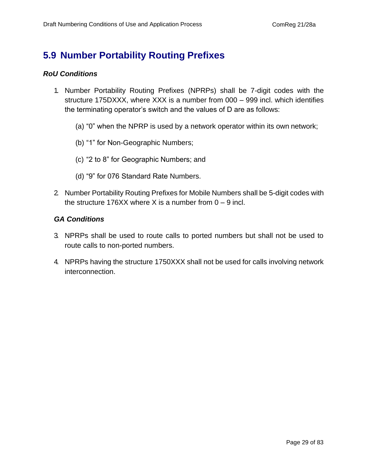## <span id="page-28-0"></span>**5.9 Number Portability Routing Prefixes**

#### *RoU Conditions*

- 1. Number Portability Routing Prefixes (NPRPs) shall be 7-digit codes with the structure 175DXXX, where XXX is a number from 000 – 999 incl. which identifies the terminating operator's switch and the values of D are as follows:
	- (a) "0" when the NPRP is used by a network operator within its own network;
	- (b) "1" for Non-Geographic Numbers;
	- (c) "2 to 8" for Geographic Numbers; and
	- (d) "9" for 076 Standard Rate Numbers.
- 2. Number Portability Routing Prefixes for Mobile Numbers shall be 5-digit codes with the structure 176XX where X is a number from  $0 - 9$  incl.

#### *GA Conditions*

- 3. NPRPs shall be used to route calls to ported numbers but shall not be used to route calls to non-ported numbers.
- 4. NPRPs having the structure 1750XXX shall not be used for calls involving network interconnection.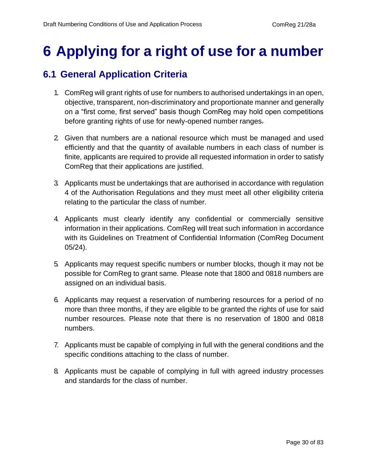## <span id="page-29-0"></span>**6 Applying for a right of use for a number**

## <span id="page-29-1"></span>**6.1 General Application Criteria**

- 1. ComReg will grant rights of use for numbers to authorised undertakings in an open, objective, transparent, non-discriminatory and proportionate manner and generally on a "first come, first served" basis though ComReg may hold open competitions before granting rights of use for newly-opened number ranges.
- 2. Given that numbers are a national resource which must be managed and used efficiently and that the quantity of available numbers in each class of number is finite, applicants are required to provide all requested information in order to satisfy ComReg that their applications are justified.
- 3. Applicants must be undertakings that are authorised in accordance with regulation 4 of the Authorisation Regulations and they must meet all other eligibility criteria relating to the particular the class of number.
- 4. Applicants must clearly identify any confidential or commercially sensitive information in their applications. ComReg will treat such information in accordance with its Guidelines on Treatment of Confidential Information (ComReg Document 05/24).
- 5. Applicants may request specific numbers or number blocks, though it may not be possible for ComReg to grant same. Please note that 1800 and 0818 numbers are assigned on an individual basis.
- 6. Applicants may request a reservation of numbering resources for a period of no more than three months, if they are eligible to be granted the rights of use for said number resources. Please note that there is no reservation of 1800 and 0818 numbers.
- 7. Applicants must be capable of complying in full with the general conditions and the specific conditions attaching to the class of number.
- 8. Applicants must be capable of complying in full with agreed industry processes and standards for the class of number.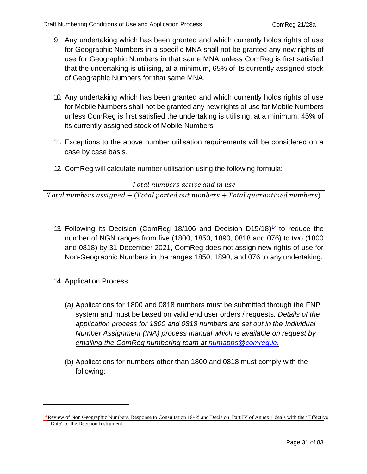- 9. Any undertaking which has been granted and which currently holds rights of use for Geographic Numbers in a specific MNA shall not be granted any new rights of use for Geographic Numbers in that same MNA unless ComReg is first satisfied that the undertaking is utilising, at a minimum, 65% of its currently assigned stock of Geographic Numbers for that same MNA.
- 10. Any undertaking which has been granted and which currently holds rights of use for Mobile Numbers shall not be granted any new rights of use for Mobile Numbers unless ComReg is first satisfied the undertaking is utilising, at a minimum, 45% of its currently assigned stock of Mobile Numbers
- 11. Exceptions to the above number utilisation requirements will be considered on a case by case basis.
- 12. ComReg will calculate number utilisation using the following formula:

#### Total numbers active and in use

 $Total \ numbers$  assigned  $-$  (Total ported out numbers  $+$  Total quarantined numbers)

- 13. Following its Decision (ComReg 18/106 and Decision  $D15/18$ )<sup>14</sup> to reduce the number of NGN ranges from five (1800, 1850, 1890, 0818 and 076) to two (1800 and 0818) by 31 December 2021, ComReg does not assign new rights of use for Non-Geographic Numbers in the ranges 1850, 1890, and 076 to any undertaking.
- 14. Application Process
	- (a) Applications for 1800 and 0818 numbers must be submitted through the FNP system and must be based on valid end user orders / requests. *Details of the application process for 1800 and 0818 numbers are set out in the Individual Number Assignment (INA) process manual which is available on request by emailing the ComReg numbering team at [numapps@comreg.ie.](mailto:numapps@comreg.ie)*
	- (b) Applications for numbers other than 1800 and 0818 must comply with the following:

<sup>&</sup>lt;sup>14</sup> Review of Non Geographic Numbers, Response to Consultation 18/65 and Decision. Part IV of Annex 1 deals with the "Effective Date" of the Decision Instrument.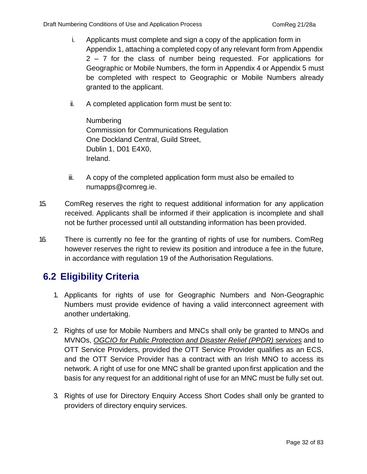- i. Applicants must complete and sign a copy of the application form in Appendix 1, attaching a completed copy of any relevant form from Appendix 2 – 7 for the class of number being requested. For applications for Geographic or Mobile Numbers, the form in Appendix 4 or Appendix 5 must be completed with respect to Geographic or Mobile Numbers already granted to the applicant.
- ii. A completed application form must be sent to:

Numbering Commission for Communications Regulation One Dockland Central, Guild Street, Dublin 1, D01 E4X0, Ireland.

- iii. A copy of the completed application form must also be emailed t[o](mailto:numapps@comreg.ie) [numapps@comreg.ie.](mailto:numapps@comreg.ie)
- 15. ComReg reserves the right to request additional information for any application received. Applicants shall be informed if their application is incomplete and shall not be further processed until all outstanding information has been provided.
- 16. There is currently no fee for the granting of rights of use for numbers. ComReg however reserves the right to review its position and introduce a fee in the future, in accordance with regulation 19 of the Authorisation Regulations.

## <span id="page-31-0"></span>**6.2 Eligibility Criteria**

- 1. Applicants for rights of use for Geographic Numbers and Non-Geographic Numbers must provide evidence of having a valid interconnect agreement with another undertaking.
- 2. Rights of use for Mobile Numbers and MNCs shall only be granted to MNOs and MVNOs, *OGCIO for Public Protection and Disaster Relief (PPDR) services* and to OTT Service Providers, provided the OTT Service Provider qualifies as an ECS, and the OTT Service Provider has a contract with an Irish MNO to access its network. A right of use for one MNC shall be granted upon first application and the basis for any request for an additional right of use for an MNC must be fully set out.
- 3. Rights of use for Directory Enquiry Access Short Codes shall only be granted to providers of directory enquiry services.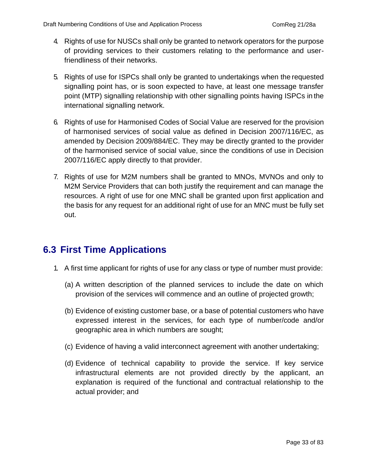- 4. Rights of use for NUSCs shall only be granted to network operators for the purpose of providing services to their customers relating to the performance and userfriendliness of their networks.
- 5. Rights of use for ISPCs shall only be granted to undertakings when the requested signalling point has, or is soon expected to have, at least one message transfer point (MTP) signalling relationship with other signalling points having ISPCs in the international signalling network.
- 6. Rights of use for Harmonised Codes of Social Value are reserved for the provision of harmonised services of social value as defined in Decision 2007/116/EC, as amended by Decision 2009/884/EC. They may be directly granted to the provider of the harmonised service of social value, since the conditions of use in Decision 2007/116/EC apply directly to that provider.
- 7. Rights of use for M2M numbers shall be granted to MNOs, MVNOs and only to M2M Service Providers that can both justify the requirement and can manage the resources. A right of use for one MNC shall be granted upon first application and the basis for any request for an additional right of use for an MNC must be fully set out.

## <span id="page-32-0"></span>**6.3 First Time Applications**

- 1. A first time applicant for rights of use for any class or type of number must provide:
	- (a) A written description of the planned services to include the date on which provision of the services will commence and an outline of projected growth;
	- (b) Evidence of existing customer base, or a base of potential customers who have expressed interest in the services, for each type of number/code and/or geographic area in which numbers are sought;
	- (c) Evidence of having a valid interconnect agreement with another undertaking;
	- (d) Evidence of technical capability to provide the service. If key service infrastructural elements are not provided directly by the applicant, an explanation is required of the functional and contractual relationship to the actual provider; and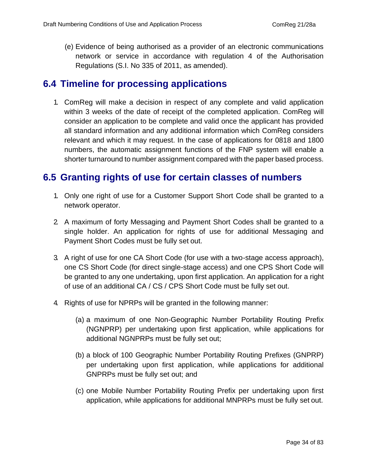(e) Evidence of being authorised as a provider of an electronic communications network or service in accordance with regulation 4 of the Authorisation Regulations (S.I. No 335 of 2011, as amended).

### <span id="page-33-0"></span>**6.4 Timeline for processing applications**

1. ComReg will make a decision in respect of any complete and valid application within 3 weeks of the date of receipt of the completed application. ComReg will consider an application to be complete and valid once the applicant has provided all standard information and any additional information which ComReg considers relevant and which it may request. In the case of applications for 0818 and 1800 numbers, the automatic assignment functions of the FNP system will enable a shorter turnaround to number assignment compared with the paper based process.

### <span id="page-33-1"></span>**6.5 Granting rights of use for certain classes of numbers**

- 1. Only one right of use for a Customer Support Short Code shall be granted to a network operator.
- 2. A maximum of forty Messaging and Payment Short Codes shall be granted to a single holder. An application for rights of use for additional Messaging and Payment Short Codes must be fully set out.
- 3. A right of use for one CA Short Code (for use with a two-stage access approach), one CS Short Code (for direct single-stage access) and one CPS Short Code will be granted to any one undertaking, upon first application. An application for a right of use of an additional CA / CS / CPS Short Code must be fully set out.
- 4. Rights of use for NPRPs will be granted in the following manner:
	- (a) a maximum of one Non-Geographic Number Portability Routing Prefix (NGNPRP) per undertaking upon first application, while applications for additional NGNPRPs must be fully set out;
	- (b) a block of 100 Geographic Number Portability Routing Prefixes (GNPRP) per undertaking upon first application, while applications for additional GNPRPs must be fully set out; and
	- (c) one Mobile Number Portability Routing Prefix per undertaking upon first application, while applications for additional MNPRPs must be fully set out.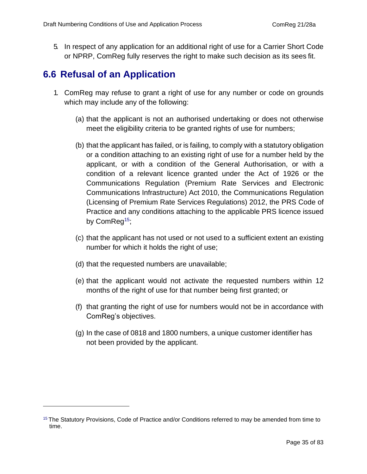5. In respect of any application for an additional right of use for a Carrier Short Code or NPRP, ComReg fully reserves the right to make such decision as its sees fit.

## <span id="page-34-0"></span>**6.6 Refusal of an Application**

- 1. ComReg may refuse to grant a right of use for any number or code on grounds which may include any of the following:
	- (a) that the applicant is not an authorised undertaking or does not otherwise meet the eligibility criteria to be granted rights of use for numbers;
	- (b) that the applicant has failed, or is failing, to comply with a statutory obligation or a condition attaching to an existing right of use for a number held by the applicant, or with a condition of the General Authorisation, or with a condition of a relevant licence granted under the Act of 1926 or the Communications Regulation (Premium Rate Services and Electronic Communications Infrastructure) Act 2010, the Communications Regulation (Licensing of Premium Rate Services Regulations) 2012, the PRS Code of Practice and any conditions attaching to the applicable PRS licence issued by ComReg<sup>15</sup>;
	- (c) that the applicant has not used or not used to a sufficient extent an existing number for which it holds the right of use;
	- (d) that the requested numbers are unavailable;
	- (e) that the applicant would not activate the requested numbers within 12 months of the right of use for that number being first granted; or
	- (f) that granting the right of use for numbers would not be in accordance with ComReg's objectives.
	- (g) In the case of 0818 and 1800 numbers, a unique customer identifier has not been provided by the applicant.

<sup>&</sup>lt;sup>15</sup> The Statutory Provisions, Code of Practice and/or Conditions referred to may be amended from time to time.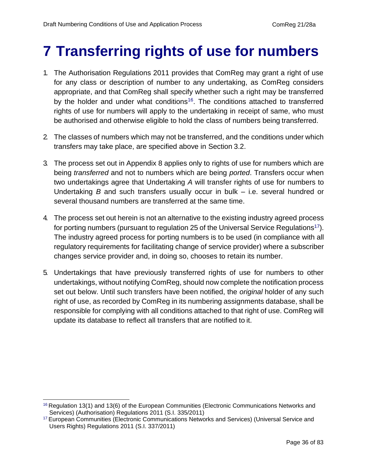## <span id="page-35-0"></span>**7 Transferring rights of use for numbers**

- 1. The Authorisation Regulations 2011 provides that ComReg may grant a right of use for any class or description of number to any undertaking, as ComReg considers appropriate, and that ComReg shall specify whether such a right may be transferred by the holder and under what conditions<sup>16</sup>. The conditions attached to transferred rights of use for numbers will apply to the undertaking in receipt of same, who must be authorised and otherwise eligible to hold the class of numbers being transferred.
- 2. The classes of numbers which may not be transferred, and the conditions under which transfers may take place, are specified above in Section 3.2.
- 3. The process set out in Appendix 8 applies only to rights of use for numbers which are being *transferred* and not to numbers which are being *ported*. Transfers occur when two undertakings agree that Undertaking *A* will transfer rights of use for numbers to Undertaking *B* and such transfers usually occur in bulk – i.e. several hundred or several thousand numbers are transferred at the same time.
- 4. The process set out herein is not an alternative to the existing industry agreed process for porting numbers (pursuant to regulation 25 of the Universal Service Regulations<sup>17</sup>). The industry agreed process for porting numbers is to be used (in compliance with all regulatory requirements for facilitating change of service provider) where a subscriber changes service provider and, in doing so, chooses to retain its number.
- 5. Undertakings that have previously transferred rights of use for numbers to other undertakings, without notifying ComReg, should now complete the notification process set out below. Until such transfers have been notified, the *original* holder of any such right of use, as recorded by ComReg in its numbering assignments database, shall be responsible for complying with all conditions attached to that right of use. ComReg will update its database to reflect all transfers that are notified to it.

 $16$  Regulation 13(1) and 13(6) of the European Communities (Electronic Communications Networks and Services) (Authorisation) Regulations 2011 (S.I. 335/2011)

<sup>&</sup>lt;sup>17</sup> European Communities (Electronic Communications Networks and Services) (Universal Service and Users Rights) Regulations 2011 (S.I. 337/2011)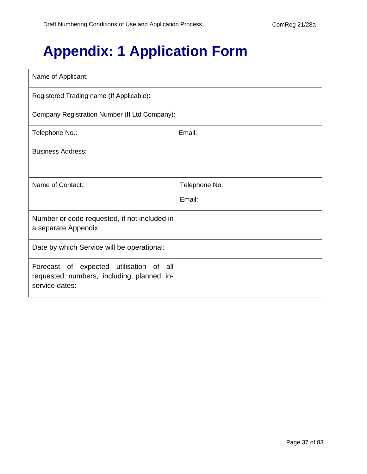## **Appendix: 1 Application Form**

| Name of Applicant:                                                                                    |                |  |  |  |  |
|-------------------------------------------------------------------------------------------------------|----------------|--|--|--|--|
| Registered Trading name (If Applicable):                                                              |                |  |  |  |  |
| Company Registration Number (If Ltd Company):                                                         |                |  |  |  |  |
| Telephone No.:                                                                                        | Email:         |  |  |  |  |
| <b>Business Address:</b>                                                                              |                |  |  |  |  |
|                                                                                                       |                |  |  |  |  |
| Name of Contact:                                                                                      | Telephone No.: |  |  |  |  |
|                                                                                                       | Email:         |  |  |  |  |
| Number or code requested, if not included in<br>a separate Appendix:                                  |                |  |  |  |  |
| Date by which Service will be operational:                                                            |                |  |  |  |  |
| Forecast of expected utilisation of all<br>requested numbers, including planned in-<br>service dates: |                |  |  |  |  |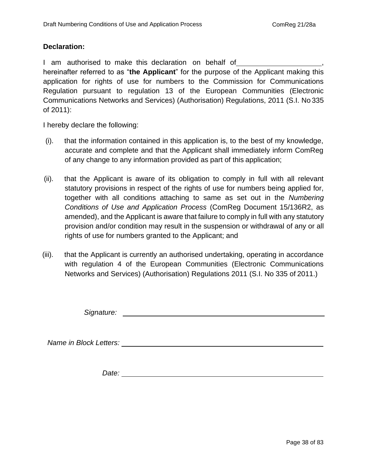#### **Declaration:**

I am authorised to make this declaration on behalf of hereinafter referred to as "**the Applicant**" for the purpose of the Applicant making this application for rights of use for numbers to the Commission for Communications Regulation pursuant to regulation 13 of the European Communities (Electronic Communications Networks and Services) (Authorisation) Regulations, 2011 (S.I. No 335 of 2011):

I hereby declare the following:

- (i). that the information contained in this application is, to the best of my knowledge, accurate and complete and that the Applicant shall immediately inform ComReg of any change to any information provided as part of this application;
- (ii). that the Applicant is aware of its obligation to comply in full with all relevant statutory provisions in respect of the rights of use for numbers being applied for, together with all conditions attaching to same as set out in the *Numbering Conditions of Use and Application Process* (ComReg Document 15/136R2, as amended), and the Applicant is aware that failure to comply in full with any statutory provision and/or condition may result in the suspension or withdrawal of any or all rights of use for numbers granted to the Applicant; and
- (iii). that the Applicant is currently an authorised undertaking, operating in accordance with regulation 4 of the European Communities (Electronic Communications Networks and Services) (Authorisation) Regulations 2011 (S.I. No 335 of 2011.)

*Signature:*

*Name in Block Letters:* 

*Date:*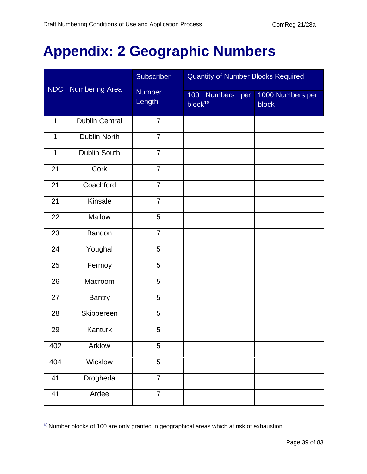## **Appendix: 2 Geographic Numbers**

|              |                       | <b>Subscriber</b>       | <b>Quantity of Number Blocks Required</b> |                           |  |  |
|--------------|-----------------------|-------------------------|-------------------------------------------|---------------------------|--|--|
| <b>NDC</b>   | <b>Numbering Area</b> | <b>Number</b><br>Length | 100 Numbers per<br>block <sup>18</sup>    | 1000 Numbers per<br>block |  |  |
| $\mathbf{1}$ | <b>Dublin Central</b> | $\overline{7}$          |                                           |                           |  |  |
| $\mathbf{1}$ | <b>Dublin North</b>   | $\overline{7}$          |                                           |                           |  |  |
| $\mathbf{1}$ | Dublin South          | $\overline{7}$          |                                           |                           |  |  |
| 21           | Cork                  | $\overline{7}$          |                                           |                           |  |  |
| 21           | Coachford             | $\overline{7}$          |                                           |                           |  |  |
| 21           | Kinsale               | $\overline{7}$          |                                           |                           |  |  |
| 22           | Mallow                | 5                       |                                           |                           |  |  |
| 23           | Bandon                | $\overline{7}$          |                                           |                           |  |  |
| 24           | Youghal               | 5                       |                                           |                           |  |  |
| 25           | Fermoy                | 5                       |                                           |                           |  |  |
| 26           | Macroom               | 5                       |                                           |                           |  |  |
| 27           | <b>Bantry</b>         | 5                       |                                           |                           |  |  |
| 28           | Skibbereen            | 5                       |                                           |                           |  |  |
| 29           | Kanturk               | 5                       |                                           |                           |  |  |
| 402          | Arklow                | 5                       |                                           |                           |  |  |
| 404          | Wicklow               | 5                       |                                           |                           |  |  |
| 41           | <b>Drogheda</b>       | $\overline{7}$          |                                           |                           |  |  |
| 41           | Ardee                 | $\overline{7}$          |                                           |                           |  |  |

Number blocks of 100 are only granted in geographical areas which at risk of exhaustion.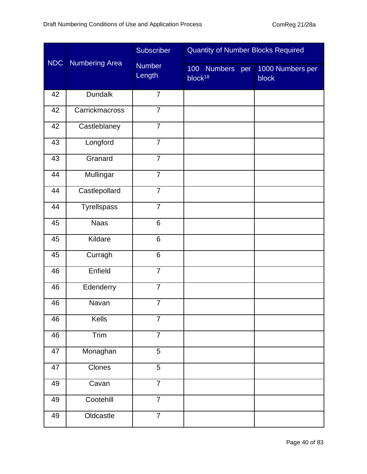|            |                       | Subscriber              | <b>Quantity of Number Blocks Required</b> |                           |
|------------|-----------------------|-------------------------|-------------------------------------------|---------------------------|
| <b>NDC</b> | <b>Numbering Area</b> | <b>Number</b><br>Length | 100 Numbers per<br>block <sup>18</sup>    | 1000 Numbers per<br>block |
| 42         | <b>Dundalk</b>        | $\overline{7}$          |                                           |                           |
| 42         | Carrickmacross        | $\overline{7}$          |                                           |                           |
| 42         | Castleblaney          | $\overline{7}$          |                                           |                           |
| 43         | Longford              | $\overline{7}$          |                                           |                           |
| 43         | Granard               | $\overline{7}$          |                                           |                           |
| 44         | Mullingar             | $\overline{7}$          |                                           |                           |
| 44         | Castlepollard         | $\overline{7}$          |                                           |                           |
| 44         | Tyrellspass           | $\overline{7}$          |                                           |                           |
| 45         | <b>Naas</b>           | 6                       |                                           |                           |
| 45         | Kildare               | 6                       |                                           |                           |
| 45         | Curragh               | 6                       |                                           |                           |
| 46         | Enfield               | $\overline{7}$          |                                           |                           |
| 46         | Edenderry             | $\overline{7}$          |                                           |                           |
| 46         | Navan                 | $\overline{7}$          |                                           |                           |
| 46         | Kells                 | $\overline{7}$          |                                           |                           |
| 46         | Trim                  | $\overline{7}$          |                                           |                           |
| 47         | Monaghan              | 5                       |                                           |                           |
| 47         | Clones                | 5                       |                                           |                           |
| 49         | Cavan                 | $\overline{7}$          |                                           |                           |
| 49         | Cootehill             | $\overline{7}$          |                                           |                           |
| 49         | Oldcastle             | $\overline{7}$          |                                           |                           |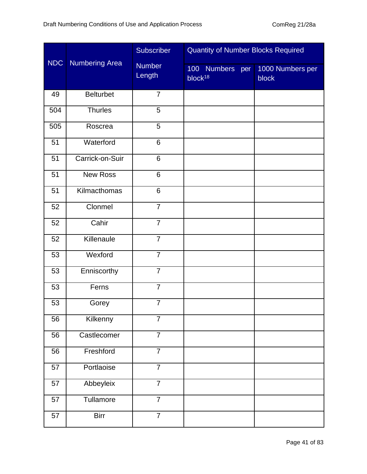|            |                       | Subscriber              | <b>Quantity of Number Blocks Required</b> |                           |
|------------|-----------------------|-------------------------|-------------------------------------------|---------------------------|
| <b>NDC</b> | <b>Numbering Area</b> | <b>Number</b><br>Length | 100 Numbers per<br>block <sup>18</sup>    | 1000 Numbers per<br>block |
| 49         | <b>Belturbet</b>      | $\overline{7}$          |                                           |                           |
| 504        | Thurles               | $\overline{5}$          |                                           |                           |
| 505        | Roscrea               | 5                       |                                           |                           |
| 51         | Waterford             | $\overline{6}$          |                                           |                           |
| 51         | Carrick-on-Suir       | 6                       |                                           |                           |
| 51         | <b>New Ross</b>       | 6                       |                                           |                           |
| 51         | Kilmacthomas          | 6                       |                                           |                           |
| 52         | Clonmel               | $\overline{7}$          |                                           |                           |
| 52         | Cahir                 | $\overline{7}$          |                                           |                           |
| 52         | Killenaule            | $\overline{7}$          |                                           |                           |
| 53         | Wexford               | $\overline{7}$          |                                           |                           |
| 53         | Enniscorthy           | $\overline{7}$          |                                           |                           |
| 53         | Ferns                 | $\overline{7}$          |                                           |                           |
| 53         | Gorey                 | $\overline{7}$          |                                           |                           |
| 56         | Kilkenny              | $\overline{7}$          |                                           |                           |
| 56         | Castlecomer           | $\overline{7}$          |                                           |                           |
| 56         | Freshford             | $\overline{7}$          |                                           |                           |
| 57         | Portlaoise            | $\overline{7}$          |                                           |                           |
| 57         | Abbeyleix             | $\overline{7}$          |                                           |                           |
| 57         | Tullamore             | $\overline{7}$          |                                           |                           |
| 57         | <b>Birr</b>           | $\overline{7}$          |                                           |                           |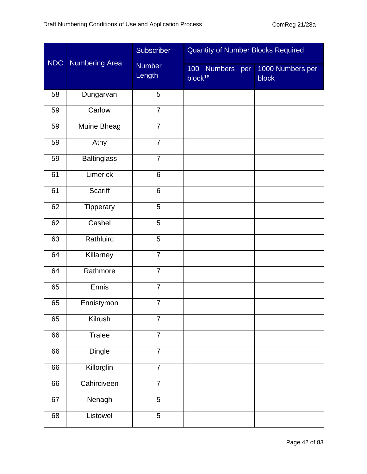|            |                       | Subscriber              | <b>Quantity of Number Blocks Required</b> |                           |
|------------|-----------------------|-------------------------|-------------------------------------------|---------------------------|
| <b>NDC</b> | <b>Numbering Area</b> | <b>Number</b><br>Length | 100 Numbers<br>per<br>block <sup>18</sup> | 1000 Numbers per<br>block |
| 58         | Dungarvan             | 5                       |                                           |                           |
| 59         | Carlow                | $\overline{7}$          |                                           |                           |
| 59         | Muine Bheag           | $\overline{7}$          |                                           |                           |
| 59         | Athy                  | $\overline{7}$          |                                           |                           |
| 59         | <b>Baltinglass</b>    | $\overline{7}$          |                                           |                           |
| 61         | Limerick              | 6                       |                                           |                           |
| 61         | <b>Scariff</b>        | 6                       |                                           |                           |
| 62         | Tipperary             | 5                       |                                           |                           |
| 62         | Cashel                | 5                       |                                           |                           |
| 63         | Rathluirc             | 5                       |                                           |                           |
| 64         | Killarney             | $\overline{7}$          |                                           |                           |
| 64         | Rathmore              | $\overline{7}$          |                                           |                           |
| 65         | <b>Ennis</b>          | $\overline{7}$          |                                           |                           |
| 65         | Ennistymon            | $\overline{7}$          |                                           |                           |
| 65         | Kilrush               | $\overline{7}$          |                                           |                           |
| 66         | <b>Tralee</b>         | $\overline{7}$          |                                           |                           |
| 66         | <b>Dingle</b>         | $\overline{7}$          |                                           |                           |
| 66         | Killorglin            | $\overline{7}$          |                                           |                           |
| 66         | Cahirciveen           | $\overline{7}$          |                                           |                           |
| 67         | Nenagh                | 5                       |                                           |                           |
| 68         | Listowel              | $\overline{5}$          |                                           |                           |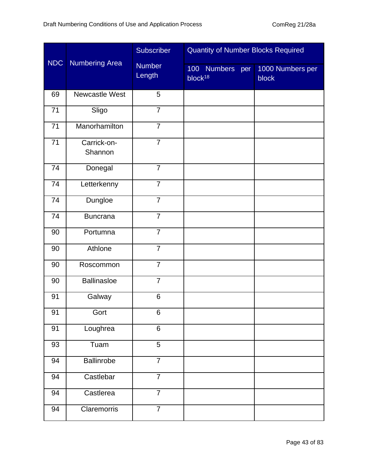|            |                        | Subscriber              | <b>Quantity of Number Blocks Required</b> |                                  |  |  |
|------------|------------------------|-------------------------|-------------------------------------------|----------------------------------|--|--|
| <b>NDC</b> | <b>Numbering Area</b>  | <b>Number</b><br>Length | 100 Numbers per<br>block <sup>18</sup>    | 1000 Numbers per<br><b>block</b> |  |  |
| 69         | Newcastle West         | 5                       |                                           |                                  |  |  |
| 71         | Sligo                  | $\overline{7}$          |                                           |                                  |  |  |
| 71         | Manorhamilton          | $\overline{7}$          |                                           |                                  |  |  |
| 71         | Carrick-on-<br>Shannon | $\overline{7}$          |                                           |                                  |  |  |
| 74         | Donegal                | $\overline{7}$          |                                           |                                  |  |  |
| 74         | Letterkenny            | $\overline{7}$          |                                           |                                  |  |  |
| 74         | Dungloe                | $\overline{7}$          |                                           |                                  |  |  |
| 74         | <b>Buncrana</b>        | $\overline{7}$          |                                           |                                  |  |  |
| 90         | Portumna               | $\overline{7}$          |                                           |                                  |  |  |
| 90         | Athlone                | $\overline{7}$          |                                           |                                  |  |  |
| 90         | Roscommon              | $\overline{7}$          |                                           |                                  |  |  |
| 90         | <b>Ballinasloe</b>     | $\overline{7}$          |                                           |                                  |  |  |
| 91         | Galway                 | $6\phantom{1}$          |                                           |                                  |  |  |
| 91         | Gort                   | 6                       |                                           |                                  |  |  |
| 91         | Loughrea               | $6\phantom{1}$          |                                           |                                  |  |  |
| 93         | Tuam                   | 5                       |                                           |                                  |  |  |
| 94         | Ballinrobe             | $\overline{7}$          |                                           |                                  |  |  |
| 94         | Castlebar              | $\overline{7}$          |                                           |                                  |  |  |
| 94         | Castlerea              | $\overline{7}$          |                                           |                                  |  |  |
| 94         | Claremorris            | $\overline{7}$          |                                           |                                  |  |  |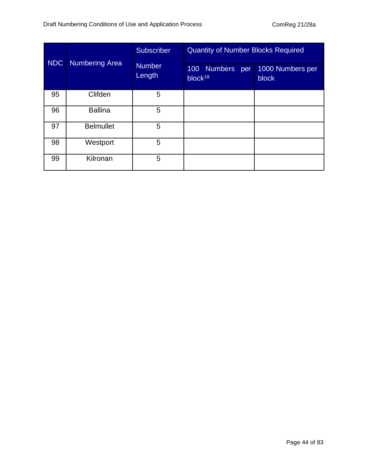| <b>NDC</b> | <b>Numbering Area</b> | <b>Subscriber</b><br><b>Number</b><br>Length | <b>Quantity of Number Blocks Required</b><br>100 Numbers<br>per<br>block <sup>18</sup> | 1000 Numbers per<br>block |
|------------|-----------------------|----------------------------------------------|----------------------------------------------------------------------------------------|---------------------------|
| 95         | Clifden               | 5                                            |                                                                                        |                           |
| 96         | <b>Ballina</b>        | 5                                            |                                                                                        |                           |
| 97         | <b>Belmullet</b>      | 5                                            |                                                                                        |                           |
| 98         | Westport              | 5                                            |                                                                                        |                           |
| 99         | Kilronan              | 5                                            |                                                                                        |                           |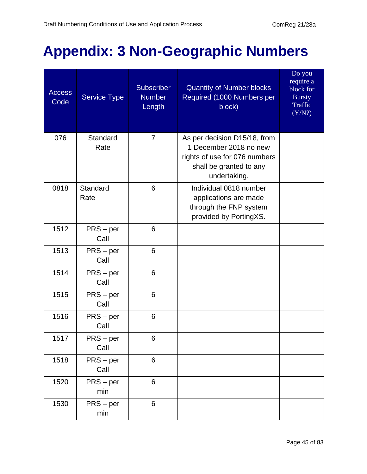## **Appendix: 3 Non-Geographic Numbers**

| <b>Access</b><br>Code | <b>Service Type</b> | <b>Subscriber</b><br><b>Number</b><br>Length | <b>Quantity of Number blocks</b><br>Required (1000 Numbers per<br>block)                                                           | Do you<br>require a<br>block for<br><b>Bursty</b><br>Traffic<br>(Y/N?) |
|-----------------------|---------------------|----------------------------------------------|------------------------------------------------------------------------------------------------------------------------------------|------------------------------------------------------------------------|
| 076                   | Standard<br>Rate    | $\overline{7}$                               | As per decision D15/18, from<br>1 December 2018 no new<br>rights of use for 076 numbers<br>shall be granted to any<br>undertaking. |                                                                        |
| 0818                  | Standard<br>Rate    | 6                                            | Individual 0818 number<br>applications are made<br>through the FNP system<br>provided by PortingXS.                                |                                                                        |
| 1512                  | $PRS - per$<br>Call | 6                                            |                                                                                                                                    |                                                                        |
| 1513                  | $PRS - per$<br>Call | 6                                            |                                                                                                                                    |                                                                        |
| 1514                  | $PRS - per$<br>Call | 6                                            |                                                                                                                                    |                                                                        |
| 1515                  | $PRS - per$<br>Call | 6                                            |                                                                                                                                    |                                                                        |
| 1516                  | $PRS - per$<br>Call | 6                                            |                                                                                                                                    |                                                                        |
| 1517                  | $PRS-per$<br>Call   | 6                                            |                                                                                                                                    |                                                                        |
| 1518                  | $PRS - per$<br>Call | 6                                            |                                                                                                                                    |                                                                        |
| 1520                  | $PRS - per$<br>min  | 6                                            |                                                                                                                                    |                                                                        |
| 1530                  | $PRS - per$<br>min  | 6                                            |                                                                                                                                    |                                                                        |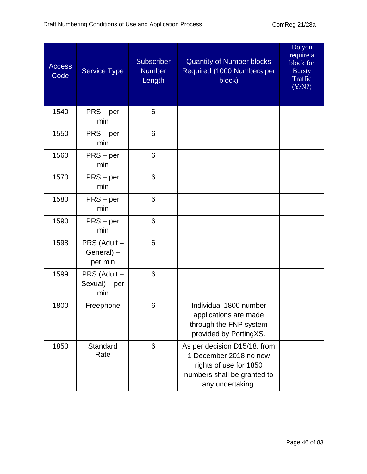| <b>Access</b><br>Code | <b>Service Type</b>                   | <b>Subscriber</b><br><b>Number</b><br>Length | <b>Quantity of Number blocks</b><br>Required (1000 Numbers per<br>block)                                                            | Do you<br>require a<br>block for<br><b>Bursty</b><br>Traffic<br>(Y/N?) |
|-----------------------|---------------------------------------|----------------------------------------------|-------------------------------------------------------------------------------------------------------------------------------------|------------------------------------------------------------------------|
| 1540                  | $PRS - per$<br>min                    | 6                                            |                                                                                                                                     |                                                                        |
| 1550                  | $PRS - per$<br>min                    | 6                                            |                                                                                                                                     |                                                                        |
| 1560                  | $PRS - per$<br>min                    | 6                                            |                                                                                                                                     |                                                                        |
| 1570                  | $PRS - per$<br>min                    | 6                                            |                                                                                                                                     |                                                                        |
| 1580                  | $PRS - per$<br>min                    | 6                                            |                                                                                                                                     |                                                                        |
| 1590                  | $PRS - per$<br>min                    | 6                                            |                                                                                                                                     |                                                                        |
| 1598                  | PRS (Adult -<br>General) -<br>per min | 6                                            |                                                                                                                                     |                                                                        |
| 1599                  | PRS (Adult -<br>Sexual) - per<br>min  | 6                                            |                                                                                                                                     |                                                                        |
| 1800                  | Freephone                             | 6                                            | Individual 1800 number<br>applications are made<br>through the FNP system<br>provided by PortingXS.                                 |                                                                        |
| 1850                  | Standard<br>Rate                      | 6                                            | As per decision D15/18, from<br>1 December 2018 no new<br>rights of use for 1850<br>numbers shall be granted to<br>any undertaking. |                                                                        |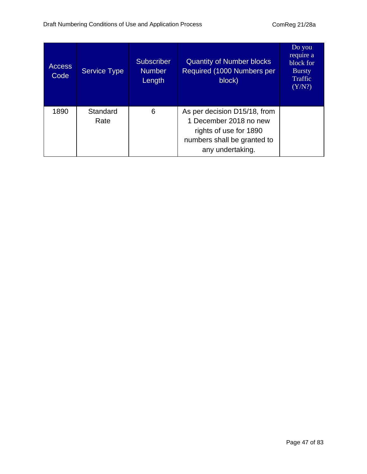| <b>Access</b><br>Code | <b>Service Type</b> | <b>Subscriber</b><br><b>Number</b><br>Length | <b>Quantity of Number blocks</b><br>Required (1000 Numbers per<br>block)                                                            | Do you<br>require a<br>block for<br><b>Bursty</b><br>Traffic<br>(Y/N?) |
|-----------------------|---------------------|----------------------------------------------|-------------------------------------------------------------------------------------------------------------------------------------|------------------------------------------------------------------------|
| 1890                  | Standard<br>Rate    | 6                                            | As per decision D15/18, from<br>1 December 2018 no new<br>rights of use for 1890<br>numbers shall be granted to<br>any undertaking. |                                                                        |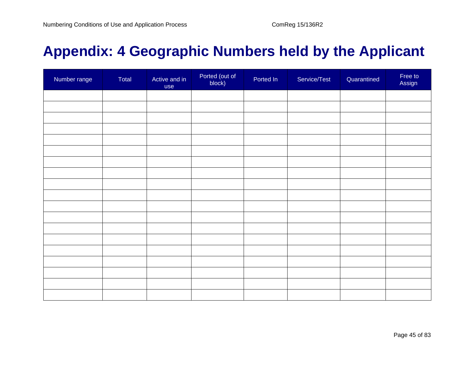## **Appendix: 4 Geographic Numbers held by the Applicant**

| Number range | Total | Active and in<br>use | Ported (out of<br>block) | Ported In | Service/Test | Quarantined | Free to<br>Assign |
|--------------|-------|----------------------|--------------------------|-----------|--------------|-------------|-------------------|
|              |       |                      |                          |           |              |             |                   |
|              |       |                      |                          |           |              |             |                   |
|              |       |                      |                          |           |              |             |                   |
|              |       |                      |                          |           |              |             |                   |
|              |       |                      |                          |           |              |             |                   |
|              |       |                      |                          |           |              |             |                   |
|              |       |                      |                          |           |              |             |                   |
|              |       |                      |                          |           |              |             |                   |
|              |       |                      |                          |           |              |             |                   |
|              |       |                      |                          |           |              |             |                   |
|              |       |                      |                          |           |              |             |                   |
|              |       |                      |                          |           |              |             |                   |
|              |       |                      |                          |           |              |             |                   |
|              |       |                      |                          |           |              |             |                   |
|              |       |                      |                          |           |              |             |                   |
|              |       |                      |                          |           |              |             |                   |
|              |       |                      |                          |           |              |             |                   |
|              |       |                      |                          |           |              |             |                   |
|              |       |                      |                          |           |              |             |                   |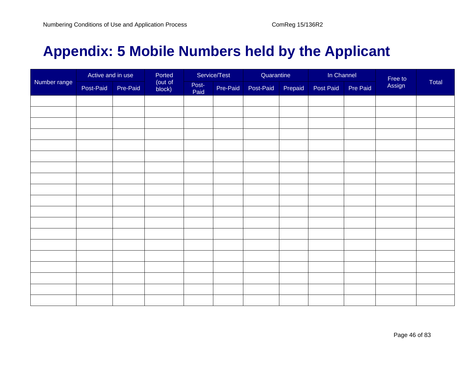## **Appendix: 5 Mobile Numbers held by the Applicant**

|              | Active and in use |          | Ported            |               | Service/Test | Quarantine |         | In Channel |          |                   |       |
|--------------|-------------------|----------|-------------------|---------------|--------------|------------|---------|------------|----------|-------------------|-------|
| Number range | Post-Paid         | Pre-Paid | (out of<br>block) | Post-<br>Paid | Pre-Paid     | Post-Paid  | Prepaid | Post Paid  | Pre Paid | Free to<br>Assign | Total |
|              |                   |          |                   |               |              |            |         |            |          |                   |       |
|              |                   |          |                   |               |              |            |         |            |          |                   |       |
|              |                   |          |                   |               |              |            |         |            |          |                   |       |
|              |                   |          |                   |               |              |            |         |            |          |                   |       |
|              |                   |          |                   |               |              |            |         |            |          |                   |       |
|              |                   |          |                   |               |              |            |         |            |          |                   |       |
|              |                   |          |                   |               |              |            |         |            |          |                   |       |
|              |                   |          |                   |               |              |            |         |            |          |                   |       |
|              |                   |          |                   |               |              |            |         |            |          |                   |       |
|              |                   |          |                   |               |              |            |         |            |          |                   |       |
|              |                   |          |                   |               |              |            |         |            |          |                   |       |
|              |                   |          |                   |               |              |            |         |            |          |                   |       |
|              |                   |          |                   |               |              |            |         |            |          |                   |       |
|              |                   |          |                   |               |              |            |         |            |          |                   |       |
|              |                   |          |                   |               |              |            |         |            |          |                   |       |
|              |                   |          |                   |               |              |            |         |            |          |                   |       |
|              |                   |          |                   |               |              |            |         |            |          |                   |       |
|              |                   |          |                   |               |              |            |         |            |          |                   |       |
|              |                   |          |                   |               |              |            |         |            |          |                   |       |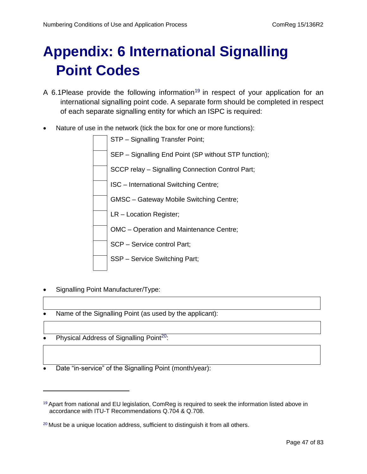# **Appendix: 6 International Signalling Point Codes**

- A 6.1 Please provide the following information<sup>19</sup> in respect of your application for an international signalling point code. A separate form should be completed in respect of each separate signalling entity for which an ISPC is required:
- Nature of use in the network (tick the box for one or more functions):



- Signalling Point Manufacturer/Type:
- Name of the Signalling Point (as used by the applicant):
- Physical Address of Signalling Point<sup>20</sup>:
- Date "in-service" of the Signalling Point (month/year):

<sup>&</sup>lt;sup>19</sup> Apart from national and EU legislation, ComReg is required to seek the information listed above in accordance with ITU-T Recommendations Q.704 & Q.708.

<sup>&</sup>lt;sup>20</sup> Must be a unique location address, sufficient to distinguish it from all others.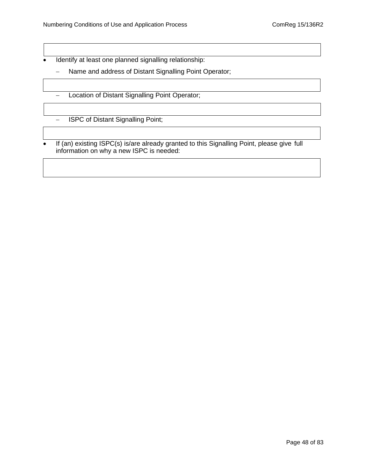• Identify at least one planned signalling relationship:

- − Name and address of Distant Signalling Point Operator;
- − Location of Distant Signalling Point Operator;

− ISPC of Distant Signalling Point;

If (an) existing ISPC(s) is/are already granted to this Signalling Point, please give full information on why a new ISPC is needed: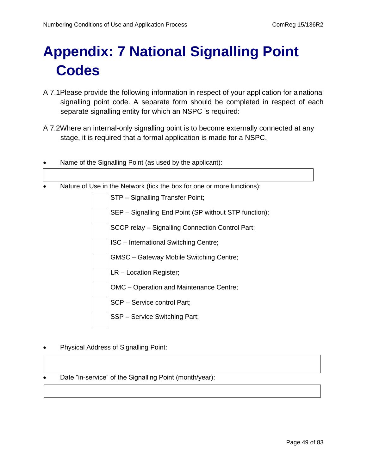# **Appendix: 7 National Signalling Point Codes**

- A 7.1Please provide the following information in respect of your application for a national signalling point code. A separate form should be completed in respect of each separate signalling entity for which an NSPC is required:
- A 7.2Where an internal-only signalling point is to become externally connected at any stage, it is required that a formal application is made for a NSPC.

| Name of the Signalling Point (as used by the applicant):               |  |  |
|------------------------------------------------------------------------|--|--|
|                                                                        |  |  |
| Nature of Use in the Network (tick the box for one or more functions): |  |  |
| STP - Signalling Transfer Point;                                       |  |  |
| SEP – Signalling End Point (SP without STP function);                  |  |  |
| SCCP relay - Signalling Connection Control Part;                       |  |  |
| ISC - International Switching Centre;                                  |  |  |
| <b>GMSC</b> - Gateway Mobile Switching Centre;                         |  |  |
| LR - Location Register;                                                |  |  |
| OMC - Operation and Maintenance Centre;                                |  |  |
| SCP - Service control Part;                                            |  |  |
| SSP - Service Switching Part;                                          |  |  |

• Physical Address of Signalling Point:

Date "in-service" of the Signalling Point (month/year):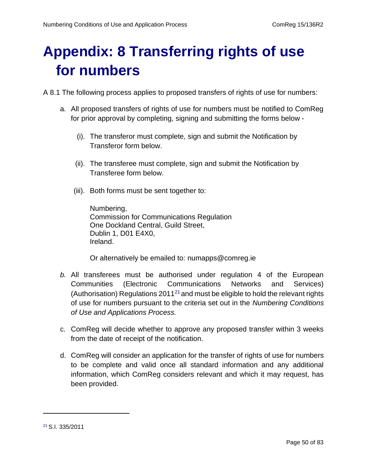# **Appendix: 8 Transferring rights of use for numbers**

A 8.1 The following process applies to proposed transfers of rights of use for numbers:

- a. All proposed transfers of rights of use for numbers must be notified to ComReg for prior approval by completing, signing and submitting the forms below -
	- (i). The transferor must complete, sign and submit the Notification by Transferor form below.
	- (ii). The transferee must complete, sign and submit the Notification by Transferee form below.
	- (iii). Both forms must be sent together to:

Numbering, Commission for Communications Regulation One Dockland Central, Guild Street, Dublin 1, D01 E4X0, Ireland.

Or alternatively be emailed to: [numapps@comreg.ie](mailto:numapps@comreg.ie)

- *b.* All transferees must be authorised under regulation 4 of the European Communities (Electronic Communications Networks and Services) (Authorisation) Regulations  $2011^{21}$  and must be eligible to hold the relevant rights of use for numbers pursuant to the criteria set out in the *Numbering Conditions of Use and Applications Process.*
- c. ComReg will decide whether to approve any proposed transfer within 3 weeks from the date of receipt of the notification.
- d. ComReg will consider an application for the transfer of rights of use for numbers to be complete and valid once all standard information and any additional information, which ComReg considers relevant and which it may request, has been provided.

<sup>21</sup> S.I. 335/2011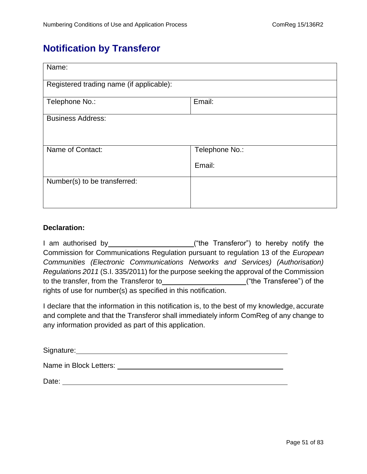### **Notification by Transferor**

| Name:                                    |                          |  |  |  |
|------------------------------------------|--------------------------|--|--|--|
| Registered trading name (if applicable): |                          |  |  |  |
| Telephone No.:                           | Email:                   |  |  |  |
| <b>Business Address:</b>                 |                          |  |  |  |
| Name of Contact:                         | Telephone No.:<br>Email: |  |  |  |
| Number(s) to be transferred:             |                          |  |  |  |

#### **Declaration:**

I am authorised by ("the Transferor") to hereby notify the Commission for Communications Regulation pursuant to regulation 13 of the *European Communities (Electronic Communications Networks and Services) (Authorisation) Regulations 2011* (S.I. 335/2011) for the purpose seeking the approval of the Commission to the transfer, from the Transferor to ("the Transferee") of the rights of use for number(s) as specified in this notification.

I declare that the information in this notification is, to the best of my knowledge, accurate and complete and that the Transferor shall immediately inform ComReg of any change to any information provided as part of this application.

| Signature: |  |
|------------|--|
|            |  |

Name in Block Letters:

Date: the contract of the contract of the contract of the contract of the contract of the contract of the contract of the contract of the contract of the contract of the contract of the contract of the contract of the cont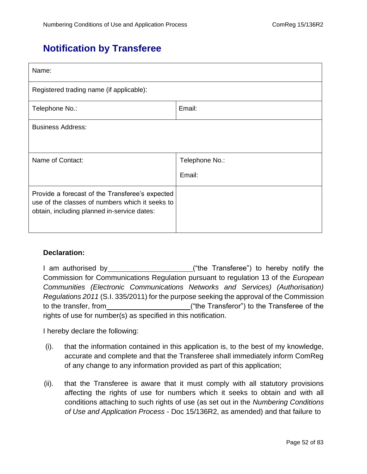### **Notification by Transferee**

| Name:                                                                                                                                             |                |  |  |  |
|---------------------------------------------------------------------------------------------------------------------------------------------------|----------------|--|--|--|
| Registered trading name (if applicable):                                                                                                          |                |  |  |  |
| Email:<br>Telephone No.:                                                                                                                          |                |  |  |  |
| <b>Business Address:</b>                                                                                                                          |                |  |  |  |
|                                                                                                                                                   |                |  |  |  |
| Name of Contact:                                                                                                                                  | Telephone No.: |  |  |  |
|                                                                                                                                                   | Email:         |  |  |  |
| Provide a forecast of the Transferee's expected<br>use of the classes of numbers which it seeks to<br>obtain, including planned in-service dates: |                |  |  |  |

#### **Declaration:**

| I am authorised by <b>Exercise 2018</b>                                                 | ("the Transferee") to hereby notify the     |
|-----------------------------------------------------------------------------------------|---------------------------------------------|
| Commission for Communications Regulation pursuant to regulation 13 of the European      |                                             |
| Communities (Electronic Communications Networks and Services) (Authorisation)           |                                             |
| Regulations 2011 (S.I. 335/2011) for the purpose seeking the approval of the Commission |                                             |
| to the transfer, from                                                                   | ("the Transferor") to the Transferee of the |
| rights of use for number(s) as specified in this notification.                          |                                             |

I hereby declare the following:

- (i). that the information contained in this application is, to the best of my knowledge, accurate and complete and that the Transferee shall immediately inform ComReg of any change to any information provided as part of this application;
- (ii). that the Transferee is aware that it must comply with all statutory provisions affecting the rights of use for numbers which it seeks to obtain and with all conditions attaching to such rights of use (as set out in the *Numbering Conditions of Use and Application Process* - Doc 15/136R2, as amended) and that failure to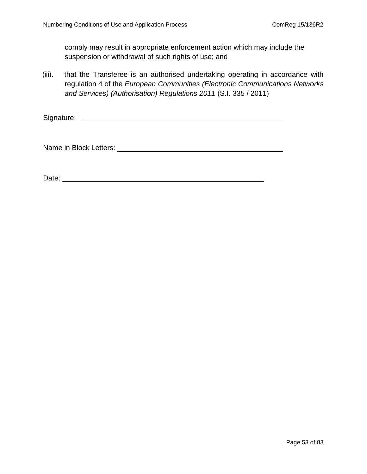comply may result in appropriate enforcement action which may include the suspension or withdrawal of such rights of use; and

(iii). that the Transferee is an authorised undertaking operating in accordance with regulation 4 of the *European Communities (Electronic Communications Networks and Services) (Authorisation) Regulations 2011* (S.I. 335 / 2011)

Signature:

Name in Block Letters: Universe and Separation of the Separation of the Separation of the Separation of the Separation of the Separation of the Separation of the Separation of the Separation of the Separation of the Separa

Date: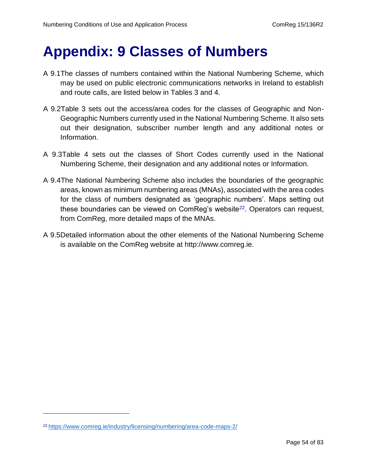## **Appendix: 9 Classes of Numbers**

- A 9.1The classes of numbers contained within the National Numbering Scheme, which may be used on public electronic communications networks in Ireland to establish and route calls, are listed below in Tables 3 and 4.
- A 9.2Table 3 sets out the access/area codes for the classes of Geographic and Non-Geographic Numbers currently used in the National Numbering Scheme. It also sets out their designation, subscriber number length and any additional notes or Information.
- A 9.3Table 4 sets out the classes of Short Codes currently used in the National Numbering Scheme, their designation and any additional notes or Information.
- A 9.4The National Numbering Scheme also includes the boundaries of the geographic areas, known as minimum numbering areas (MNAs), associated with the area codes for the class of numbers designated as 'geographic numbers'. Maps setting out these boundaries can be viewed on  $ComReg's website<sup>22</sup>$ . Operators can request, from ComReg, more detailed maps of the MNAs.
- A 9.5Detailed information about the other elements of the National Numbering Scheme is available on the ComReg website at [http://www.comreg.ie.](http://www.comreg.ie/)

<sup>22</sup> <https://www.comreg.ie/industry/licensing/numbering/area-code-maps-2/>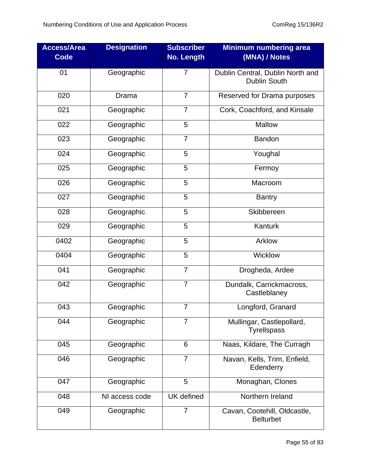| <b>Access/Area</b><br><b>Code</b> | <b>Designation</b> | <b>Subscriber</b><br><b>No. Length</b> | <b>Minimum numbering area</b><br>(MNA) / Notes          |
|-----------------------------------|--------------------|----------------------------------------|---------------------------------------------------------|
| 01                                | Geographic         | $\overline{7}$                         | Dublin Central, Dublin North and<br><b>Dublin South</b> |
| 020                               | Drama              | $\overline{7}$                         | Reserved for Drama purposes                             |
| 021                               | Geographic         | $\overline{7}$                         | Cork, Coachford, and Kinsale                            |
| 022                               | Geographic         | 5                                      | Mallow                                                  |
| 023                               | Geographic         | $\overline{7}$                         | <b>Bandon</b>                                           |
| 024                               | Geographic         | 5                                      | Youghal                                                 |
| 025                               | Geographic         | 5                                      | Fermoy                                                  |
| 026                               | Geographic         | 5                                      | Macroom                                                 |
| 027                               | Geographic         | 5                                      | <b>Bantry</b>                                           |
| 028                               | Geographic         | 5                                      | Skibbereen                                              |
| 029                               | Geographic         | 5                                      | Kanturk                                                 |
| 0402                              | Geographic         | 5                                      | Arklow                                                  |
| 0404                              | Geographic         | 5                                      | Wicklow                                                 |
| 041                               | Geographic         | $\overline{7}$                         | Drogheda, Ardee                                         |
| 042                               | Geographic         | $\overline{7}$                         | Dundalk, Carrickmacross,<br>Castleblaney                |
| $\overline{043}$                  | Geographic         | $\overline{7}$                         | Longford, Granard                                       |
| 044                               | Geographic         | $\overline{7}$                         | Mullingar, Castlepollard,<br><b>Tyrellspass</b>         |
| 045                               | Geographic         | 6                                      | Naas, Kildare, The Curragh                              |
| 046                               | Geographic         | 7                                      | Navan, Kells, Trim, Enfield,<br>Edenderry               |
| 047                               | Geographic         | 5                                      | Monaghan, Clones                                        |
| 048                               | NI access code     | <b>UK</b> defined                      | Northern Ireland                                        |
| 049                               | Geographic         | $\overline{7}$                         | Cavan, Cootehill, Oldcastle,<br><b>Belturbet</b>        |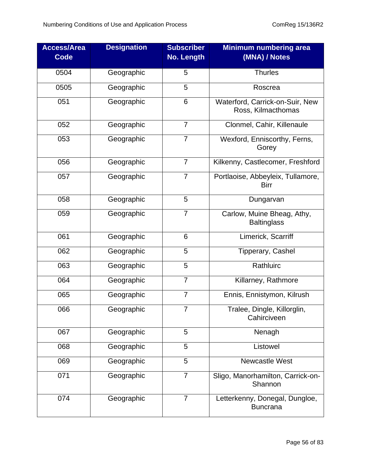| <b>Access/Area</b><br><b>Code</b> | <b>Designation</b> | <b>Subscriber</b><br><b>No. Length</b> | <b>Minimum numbering area</b><br>(MNA) / Notes        |
|-----------------------------------|--------------------|----------------------------------------|-------------------------------------------------------|
| 0504                              | Geographic         | 5                                      | <b>Thurles</b>                                        |
| 0505                              | Geographic         | 5                                      | Roscrea                                               |
| 051                               | Geographic         | 6                                      | Waterford, Carrick-on-Suir, New<br>Ross, Kilmacthomas |
| 052                               | Geographic         | $\overline{7}$                         | Clonmel, Cahir, Killenaule                            |
| 053                               | Geographic         | $\overline{7}$                         | Wexford, Enniscorthy, Ferns,<br>Gorey                 |
| 056                               | Geographic         | $\overline{7}$                         | Kilkenny, Castlecomer, Freshford                      |
| 057                               | Geographic         | 7                                      | Portlaoise, Abbeyleix, Tullamore,<br><b>Birr</b>      |
| 058                               | Geographic         | 5                                      | Dungarvan                                             |
| 059                               | Geographic         | $\overline{7}$                         | Carlow, Muine Bheag, Athy,<br><b>Baltinglass</b>      |
| 061                               | Geographic         | 6                                      | Limerick, Scarriff                                    |
| 062                               | Geographic         | 5                                      | Tipperary, Cashel                                     |
| 063                               | Geographic         | 5                                      | Rathluirc                                             |
| 064                               | Geographic         | $\overline{7}$                         | Killarney, Rathmore                                   |
| 065                               | Geographic         | $\overline{7}$                         | Ennis, Ennistymon, Kilrush                            |
| 066                               | Geographic         | 7                                      | Tralee, Dingle, Killorglin,<br>Cahirciveen            |
| 067                               | Geographic         | 5                                      | Nenagh                                                |
| 068                               | Geographic         | 5                                      | Listowel                                              |
| 069                               | Geographic         | 5                                      | <b>Newcastle West</b>                                 |
| 071                               | Geographic         | $\overline{7}$                         | Sligo, Manorhamilton, Carrick-on-<br>Shannon          |
| 074                               | Geographic         | $\overline{7}$                         | Letterkenny, Donegal, Dungloe,<br><b>Buncrana</b>     |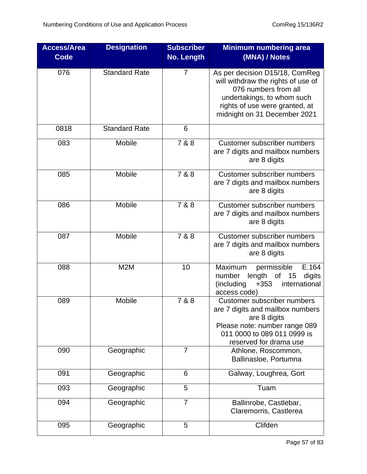| <b>Access/Area</b><br><b>Code</b> | <b>Designation</b>   | <b>Subscriber</b><br><b>No. Length</b> | <b>Minimum numbering area</b><br>(MNA) / Notes                                                                                                                                               |
|-----------------------------------|----------------------|----------------------------------------|----------------------------------------------------------------------------------------------------------------------------------------------------------------------------------------------|
| 076                               | <b>Standard Rate</b> | $\overline{7}$                         | As per decision D15/18, ComReg<br>will withdraw the rights of use of<br>076 numbers from all<br>undertakings, to whom such<br>rights of use were granted, at<br>midnight on 31 December 2021 |
| 0818                              | <b>Standard Rate</b> | 6                                      |                                                                                                                                                                                              |
| 083                               | Mobile               | 7 & 8                                  | Customer subscriber numbers<br>are 7 digits and mailbox numbers<br>are 8 digits                                                                                                              |
| 085                               | Mobile               | 7 & 8                                  | <b>Customer subscriber numbers</b><br>are 7 digits and mailbox numbers<br>are 8 digits                                                                                                       |
| 086                               | Mobile               | 7 & 8                                  | <b>Customer subscriber numbers</b><br>are 7 digits and mailbox numbers<br>are 8 digits                                                                                                       |
| 087                               | Mobile               | 7 & 8                                  | <b>Customer subscriber numbers</b><br>are 7 digits and mailbox numbers<br>are 8 digits                                                                                                       |
| 088                               | M2M                  | 10                                     | Maximum<br>permissible<br>E.164<br>length of 15<br>number<br>digits<br>(including<br>international<br>$+353$<br>access code)                                                                 |
| 089                               | Mobile               | 7 & 8                                  | <b>Customer subscriber numbers</b><br>are 7 digits and mailbox numbers<br>are 8 digits<br>Please note: number range 089<br>011 0000 to 089 011 0999 is<br>reserved for drama use             |
| 090                               | Geographic           | $\overline{7}$                         | Athlone, Roscommon,<br>Ballinasloe, Portumna                                                                                                                                                 |
| 091                               | Geographic           | 6                                      | Galway, Loughrea, Gort                                                                                                                                                                       |
| 093                               | Geographic           | 5                                      | Tuam                                                                                                                                                                                         |
| 094                               | Geographic           | 7                                      | Ballinrobe, Castlebar,<br>Claremorris, Castlerea                                                                                                                                             |
| 095                               | Geographic           | 5                                      | Clifden                                                                                                                                                                                      |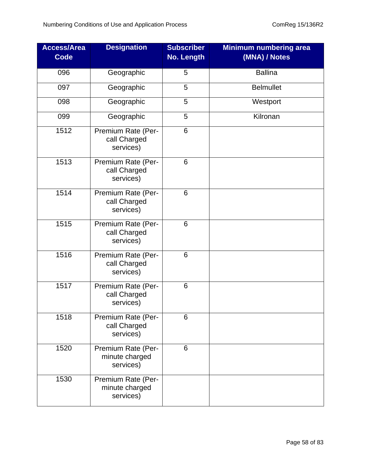| <b>Access/Area</b><br><b>Code</b> | <b>Designation</b>                                | <b>Subscriber</b><br>No. Length | <b>Minimum numbering area</b><br>(MNA) / Notes |
|-----------------------------------|---------------------------------------------------|---------------------------------|------------------------------------------------|
| 096                               | Geographic                                        | 5                               | <b>Ballina</b>                                 |
| 097                               | Geographic                                        | 5                               | <b>Belmullet</b>                               |
| 098                               | Geographic                                        | 5                               | Westport                                       |
| 099                               | Geographic                                        | 5                               | Kilronan                                       |
| 1512                              | Premium Rate (Per-<br>call Charged<br>services)   | 6                               |                                                |
| 1513                              | Premium Rate (Per-<br>call Charged<br>services)   | 6                               |                                                |
| 1514                              | Premium Rate (Per-<br>call Charged<br>services)   | 6                               |                                                |
| 1515                              | Premium Rate (Per-<br>call Charged<br>services)   | 6                               |                                                |
| 1516                              | Premium Rate (Per-<br>call Charged<br>services)   | 6                               |                                                |
| 1517                              | Premium Rate (Per-<br>call Charged<br>services)   | 6                               |                                                |
| 1518                              | Premium Rate (Per-<br>call Charged<br>services)   | 6                               |                                                |
| 1520                              | Premium Rate (Per-<br>minute charged<br>services) | 6                               |                                                |
| 1530                              | Premium Rate (Per-<br>minute charged<br>services) |                                 |                                                |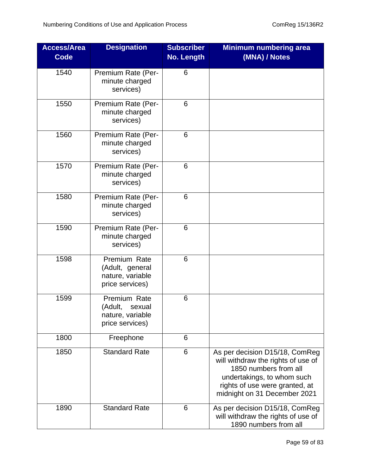| <b>Access/Area</b><br><b>Code</b> | <b>Designation</b>                                                       | <b>Subscriber</b><br><b>No. Length</b> | <b>Minimum numbering area</b><br>(MNA) / Notes                                                                                                                                                |
|-----------------------------------|--------------------------------------------------------------------------|----------------------------------------|-----------------------------------------------------------------------------------------------------------------------------------------------------------------------------------------------|
| 1540                              | Premium Rate (Per-<br>minute charged<br>services)                        | $6\phantom{1}6$                        |                                                                                                                                                                                               |
| 1550                              | Premium Rate (Per-<br>minute charged<br>services)                        | 6                                      |                                                                                                                                                                                               |
| 1560                              | Premium Rate (Per-<br>minute charged<br>services)                        | 6                                      |                                                                                                                                                                                               |
| 1570                              | Premium Rate (Per-<br>minute charged<br>services)                        | 6                                      |                                                                                                                                                                                               |
| 1580                              | Premium Rate (Per-<br>minute charged<br>services)                        | 6                                      |                                                                                                                                                                                               |
| 1590                              | Premium Rate (Per-<br>minute charged<br>services)                        | 6                                      |                                                                                                                                                                                               |
| 1598                              | Premium Rate<br>(Adult, general<br>nature, variable<br>price services)   | 6                                      |                                                                                                                                                                                               |
| 1599                              | Premium Rate<br>(Adult,<br>sexual<br>nature, variable<br>price services) | 6                                      |                                                                                                                                                                                               |
| 1800                              | Freephone                                                                | 6                                      |                                                                                                                                                                                               |
| 1850                              | <b>Standard Rate</b>                                                     | 6                                      | As per decision D15/18, ComReg<br>will withdraw the rights of use of<br>1850 numbers from all<br>undertakings, to whom such<br>rights of use were granted, at<br>midnight on 31 December 2021 |
| 1890                              | <b>Standard Rate</b>                                                     | 6                                      | As per decision D15/18, ComReg<br>will withdraw the rights of use of<br>1890 numbers from all                                                                                                 |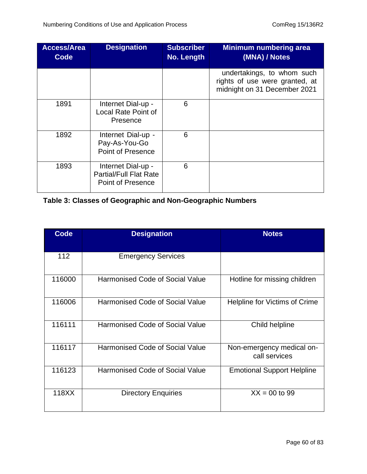| <b>Access/Area</b><br><b>Code</b> | <b>Designation</b>                                                       | <b>Subscriber</b><br>No. Length | <b>Minimum numbering area</b><br>(MNA) / Notes                                               |
|-----------------------------------|--------------------------------------------------------------------------|---------------------------------|----------------------------------------------------------------------------------------------|
|                                   |                                                                          |                                 | undertakings, to whom such<br>rights of use were granted, at<br>midnight on 31 December 2021 |
| 1891                              | Internet Dial-up -<br><b>Local Rate Point of</b><br>Presence             | 6                               |                                                                                              |
| 1892                              | Internet Dial-up -<br>Pay-As-You-Go<br>Point of Presence                 | 6                               |                                                                                              |
| 1893                              | Internet Dial-up -<br><b>Partial/Full Flat Rate</b><br>Point of Presence | 6                               |                                                                                              |

### **Table 3: Classes of Geographic and Non-Geographic Numbers**

| <b>Code</b> | <b>Designation</b>                     | <b>Notes</b>                               |
|-------------|----------------------------------------|--------------------------------------------|
|             |                                        |                                            |
| 112         | <b>Emergency Services</b>              |                                            |
| 116000      | <b>Harmonised Code of Social Value</b> | Hotline for missing children               |
| 116006      | <b>Harmonised Code of Social Value</b> | Helpline for Victims of Crime              |
| 116111      | <b>Harmonised Code of Social Value</b> | Child helpline                             |
| 116117      | Harmonised Code of Social Value        | Non-emergency medical on-<br>call services |
| 116123      | <b>Harmonised Code of Social Value</b> | <b>Emotional Support Helpline</b>          |
| 118XX       | <b>Directory Enquiries</b>             | $XX = 00$ to 99                            |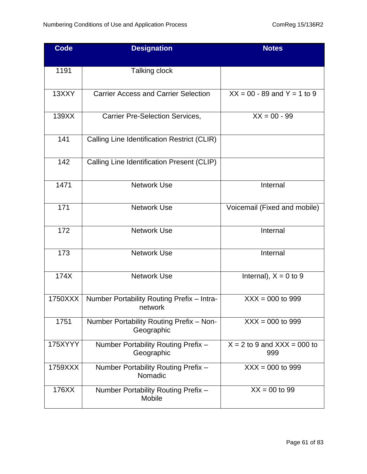| <b>Code</b> | <b>Designation</b>                                     | <b>Notes</b>                           |
|-------------|--------------------------------------------------------|----------------------------------------|
| 1191        | Talking clock                                          |                                        |
| 13XXY       | <b>Carrier Access and Carrier Selection</b>            | $XX = 00 - 89$ and $Y = 1$ to 9        |
| 139XX       | <b>Carrier Pre-Selection Services,</b>                 | $XX = 00 - 99$                         |
| 141         | Calling Line Identification Restrict (CLIR)            |                                        |
| 142         | Calling Line Identification Present (CLIP)             |                                        |
| 1471        | <b>Network Use</b>                                     | Internal                               |
| 171         | <b>Network Use</b>                                     | Voicemail (Fixed and mobile)           |
| 172         | <b>Network Use</b>                                     | Internal                               |
| 173         | <b>Network Use</b>                                     | Internal                               |
| 174X        | <b>Network Use</b>                                     | Internal), $X = 0$ to 9                |
| 1750XXX     | Number Portability Routing Prefix - Intra-<br>network  | $XXX = 000$ to 999                     |
| 1751        | Number Portability Routing Prefix - Non-<br>Geographic | $XXX = 000$ to 999                     |
| 175XYYY     | Number Portability Routing Prefix -<br>Geographic      | $X = 2$ to 9 and $XXX = 000$ to<br>999 |
| 1759XXX     | Number Portability Routing Prefix -<br>Nomadic         | $XXX = 000$ to 999                     |
| 176XX       | Number Portability Routing Prefix -<br>Mobile          | $XX = 00$ to 99                        |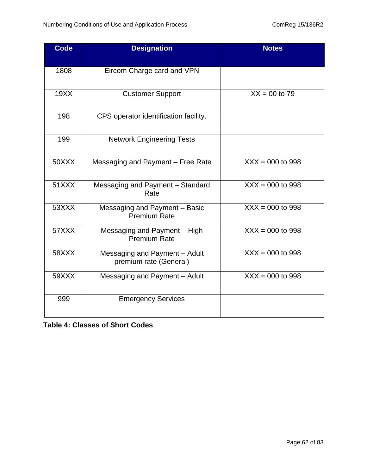| <b>Code</b> | <b>Designation</b>                                      | <b>Notes</b>       |
|-------------|---------------------------------------------------------|--------------------|
| 1808        | Eircom Charge card and VPN                              |                    |
| 19XX        | <b>Customer Support</b>                                 | $XX = 00$ to 79    |
| 198         | CPS operator identification facility.                   |                    |
| 199         | <b>Network Engineering Tests</b>                        |                    |
| 50XXX       | Messaging and Payment - Free Rate                       | $XXX = 000$ to 998 |
| 51XXX       | Messaging and Payment - Standard<br>Rate                | $XXX = 000$ to 998 |
| 53XXX       | Messaging and Payment - Basic<br><b>Premium Rate</b>    | $XXX = 000$ to 998 |
| 57XXX       | Messaging and Payment - High<br><b>Premium Rate</b>     | $XXX = 000$ to 998 |
| 58XXX       | Messaging and Payment - Adult<br>premium rate (General) | $XXX = 000$ to 998 |
| 59XXX       | Messaging and Payment - Adult                           | $XXX = 000$ to 998 |
| 999         | <b>Emergency Services</b>                               |                    |

**Table 4: Classes of Short Codes**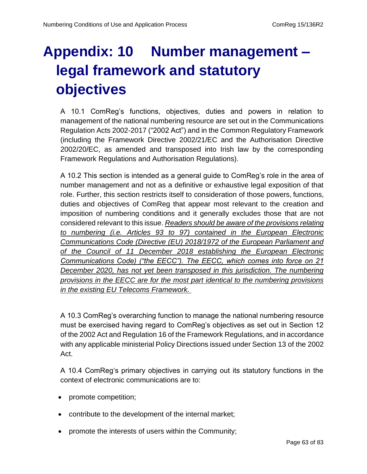# **Appendix: 10 Number management – legal framework and statutory objectives**

A 10.1 ComReg's functions, objectives, duties and powers in relation to management of the national numbering resource are set out in the Communications Regulation Acts 2002-2017 ("2002 Act") and in the Common Regulatory Framework (including the Framework Directive 2002/21/EC and the Authorisation Directive 2002/20/EC, as amended and transposed into Irish law by the corresponding Framework Regulations and Authorisation Regulations).

A 10.2 This section is intended as a general guide to ComReg's role in the area of number management and not as a definitive or exhaustive legal exposition of that role. Further, this section restricts itself to consideration of those powers, functions, duties and objectives of ComReg that appear most relevant to the creation and imposition of numbering conditions and it generally excludes those that are not considered relevant to this issue. *Readers should be aware of the provisions relating to numbering (i.e. Articles 93 to 97) contained in the European Electronic Communications Code (Directive (EU) 2018/1972 of the European Parliament and of the Council of 11 December 2018 establishing the European Electronic Communications Code) ("the EECC"). The EECC, which comes into force on 21 December 2020, has not yet been transposed in this jurisdiction. The numbering provisions in the EECC are for the most part identical to the numbering provisions in the existing EU Telecoms Framework.* 

A 10.3 ComReg's overarching function to manage the national numbering resource must be exercised having regard to ComReg's objectives as set out in Section 12 of the 2002 Act and Regulation 16 of the Framework Regulations, and in accordance with any applicable ministerial Policy Directions issued under Section 13 of the 2002 Act.

A 10.4 ComReg's primary objectives in carrying out its statutory functions in the context of electronic communications are to:

- promote competition;
- contribute to the development of the internal market;
- promote the interests of users within the Community;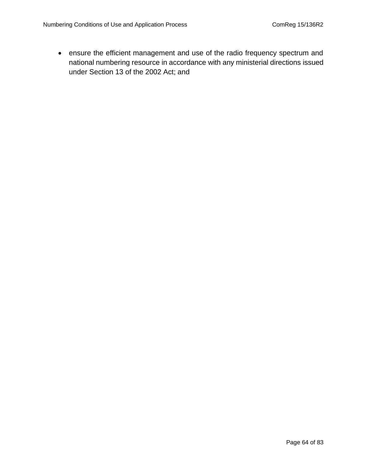• ensure the efficient management and use of the radio frequency spectrum and national numbering resource in accordance with any ministerial directions issued under Section 13 of the 2002 Act; and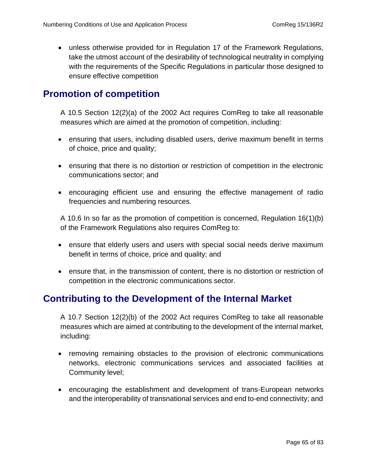• unless otherwise provided for in Regulation 17 of the Framework Regulations, take the utmost account of the desirability of technological neutrality in complying with the requirements of the Specific Regulations in particular those designed to ensure effective competition

### **Promotion of competition**

A 10.5 Section 12(2)(a) of the 2002 Act requires ComReg to take all reasonable measures which are aimed at the promotion of competition, including:

- ensuring that users, including disabled users, derive maximum benefit in terms of choice, price and quality;
- ensuring that there is no distortion or restriction of competition in the electronic communications sector; and
- encouraging efficient use and ensuring the effective management of radio frequencies and numbering resources.

A 10.6 In so far as the promotion of competition is concerned, Regulation 16(1)(b) of the Framework Regulations also requires ComReg to:

- ensure that elderly users and users with special social needs derive maximum benefit in terms of choice, price and quality; and
- ensure that, in the transmission of content, there is no distortion or restriction of competition in the electronic communications sector.

### **Contributing to the Development of the Internal Market**

A 10.7 Section 12(2)(b) of the 2002 Act requires ComReg to take all reasonable measures which are aimed at contributing to the development of the internal market, including:

- removing remaining obstacles to the provision of electronic communications networks, electronic communications services and associated facilities at Community level;
- encouraging the establishment and development of trans-European networks and the interoperability of transnational services and end to-end connectivity; and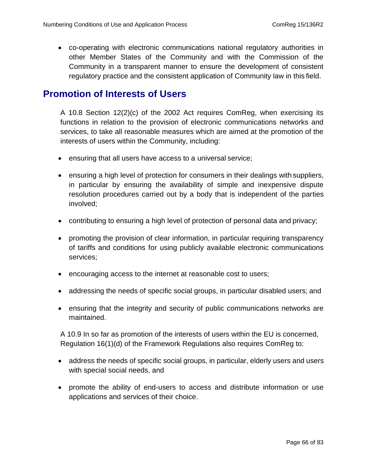• co-operating with electronic communications national regulatory authorities in other Member States of the Community and with the Commission of the Community in a transparent manner to ensure the development of consistent regulatory practice and the consistent application of Community law in this field.

### **Promotion of Interests of Users**

A 10.8 Section 12(2)(c) of the 2002 Act requires ComReg, when exercising its functions in relation to the provision of electronic communications networks and services, to take all reasonable measures which are aimed at the promotion of the interests of users within the Community, including:

- ensuring that all users have access to a universal service;
- ensuring a high level of protection for consumers in their dealings with suppliers, in particular by ensuring the availability of simple and inexpensive dispute resolution procedures carried out by a body that is independent of the parties involved;
- contributing to ensuring a high level of protection of personal data and privacy;
- promoting the provision of clear information, in particular requiring transparency of tariffs and conditions for using publicly available electronic communications services;
- encouraging access to the internet at reasonable cost to users;
- addressing the needs of specific social groups, in particular disabled users; and
- ensuring that the integrity and security of public communications networks are maintained.

A 10.9 In so far as promotion of the interests of users within the EU is concerned, Regulation 16(1)(d) of the Framework Regulations also requires ComReg to:

- address the needs of specific social groups, in particular, elderly users and users with special social needs, and
- promote the ability of end-users to access and distribute information or use applications and services of their choice.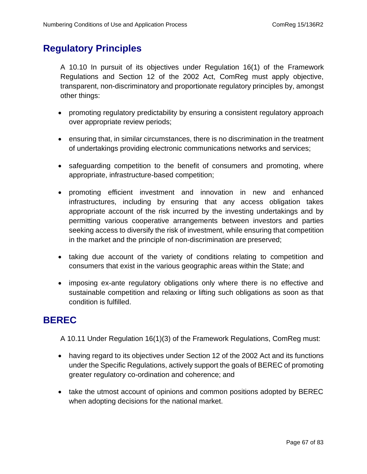### **Regulatory Principles**

A 10.10 In pursuit of its objectives under Regulation 16(1) of the Framework Regulations and Section 12 of the 2002 Act, ComReg must apply objective, transparent, non-discriminatory and proportionate regulatory principles by, amongst other things:

- promoting regulatory predictability by ensuring a consistent regulatory approach over appropriate review periods;
- ensuring that, in similar circumstances, there is no discrimination in the treatment of undertakings providing electronic communications networks and services;
- safeguarding competition to the benefit of consumers and promoting, where appropriate, infrastructure-based competition;
- promoting efficient investment and innovation in new and enhanced infrastructures, including by ensuring that any access obligation takes appropriate account of the risk incurred by the investing undertakings and by permitting various cooperative arrangements between investors and parties seeking access to diversify the risk of investment, while ensuring that competition in the market and the principle of non-discrimination are preserved;
- taking due account of the variety of conditions relating to competition and consumers that exist in the various geographic areas within the State; and
- imposing ex-ante regulatory obligations only where there is no effective and sustainable competition and relaxing or lifting such obligations as soon as that condition is fulfilled.

### **BEREC**

A 10.11 Under Regulation 16(1)(3) of the Framework Regulations, ComReg must:

- having regard to its objectives under Section 12 of the 2002 Act and its functions under the Specific Regulations, actively support the goals of BEREC of promoting greater regulatory co-ordination and coherence; and
- take the utmost account of opinions and common positions adopted by BEREC when adopting decisions for the national market.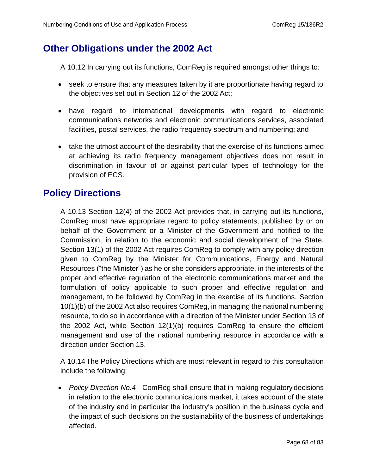### **Other Obligations under the 2002 Act**

A 10.12 In carrying out its functions, ComReg is required amongst other things to:

- seek to ensure that any measures taken by it are proportionate having regard to the objectives set out in Section 12 of the 2002 Act;
- have regard to international developments with regard to electronic communications networks and electronic communications services, associated facilities, postal services, the radio frequency spectrum and numbering; and
- take the utmost account of the desirability that the exercise of its functions aimed at achieving its radio frequency management objectives does not result in discrimination in favour of or against particular types of technology for the provision of ECS.

### **Policy Directions**

A 10.13 Section 12(4) of the 2002 Act provides that, in carrying out its functions, ComReg must have appropriate regard to policy statements, published by or on behalf of the Government or a Minister of the Government and notified to the Commission, in relation to the economic and social development of the State. Section 13(1) of the 2002 Act requires ComReg to comply with any policy direction given to ComReg by the Minister for Communications, Energy and Natural Resources ("the Minister") as he or she considers appropriate, in the interests of the proper and effective regulation of the electronic communications market and the formulation of policy applicable to such proper and effective regulation and management, to be followed by ComReg in the exercise of its functions. Section 10(1)(b) of the 2002 Act also requires ComReg, in managing the national numbering resource, to do so in accordance with a direction of the Minister under Section 13 of the 2002 Act, while Section 12(1)(b) requires ComReg to ensure the efficient management and use of the national numbering resource in accordance with a direction under Section 13.

A 10.14The Policy Directions which are most relevant in regard to this consultation include the following:

• *Policy Direction No.4 -* ComReg shall ensure that in making regulatory decisions in relation to the electronic communications market, it takes account of the state of the industry and in particular the industry's position in the business cycle and the impact of such decisions on the sustainability of the business of undertakings affected.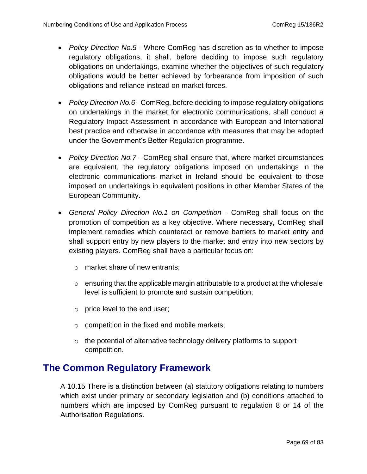- *Policy Direction No.5*  Where ComReg has discretion as to whether to impose regulatory obligations, it shall, before deciding to impose such regulatory obligations on undertakings, examine whether the objectives of such regulatory obligations would be better achieved by forbearance from imposition of such obligations and reliance instead on market forces.
- *Policy Direction No.6* ComReg, before deciding to impose regulatory obligations on undertakings in the market for electronic communications, shall conduct a Regulatory Impact Assessment in accordance with European and International best practice and otherwise in accordance with measures that may be adopted under the Government's Better Regulation programme.
- *Policy Direction No.7*  ComReg shall ensure that, where market circumstances are equivalent, the regulatory obligations imposed on undertakings in the electronic communications market in Ireland should be equivalent to those imposed on undertakings in equivalent positions in other Member States of the European Community.
- *General Policy Direction No.1 on Competition*  ComReg shall focus on the promotion of competition as a key objective. Where necessary, ComReg shall implement remedies which counteract or remove barriers to market entry and shall support entry by new players to the market and entry into new sectors by existing players. ComReg shall have a particular focus on:
	- o market share of new entrants;
	- $\circ$  ensuring that the applicable margin attributable to a product at the wholesale level is sufficient to promote and sustain competition;
	- o price level to the end user;
	- $\circ$  competition in the fixed and mobile markets;
	- $\circ$  the potential of alternative technology delivery platforms to support competition.

### **The Common Regulatory Framework**

A 10.15 There is a distinction between (a) statutory obligations relating to numbers which exist under primary or secondary legislation and (b) conditions attached to numbers which are imposed by ComReg pursuant to regulation 8 or 14 of the Authorisation Regulations.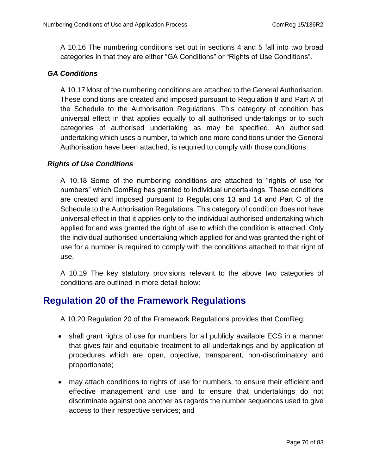A 10.16 The numbering conditions set out in sections 4 and 5 fall into two broad categories in that they are either "GA Conditions" or "Rights of Use Conditions".

### *GA Conditions*

A 10.17 Most of the numbering conditions are attached to the General Authorisation. These conditions are created and imposed pursuant to Regulation 8 and Part A of the Schedule to the Authorisation Regulations. This category of condition has universal effect in that applies equally to all authorised undertakings or to such categories of authorised undertaking as may be specified. An authorised undertaking which uses a number, to which one more conditions under the General Authorisation have been attached, is required to comply with those conditions.

### *Rights of Use Conditions*

A 10.18 Some of the numbering conditions are attached to "rights of use for numbers" which ComReg has granted to individual undertakings. These conditions are created and imposed pursuant to Regulations 13 and 14 and Part C of the Schedule to the Authorisation Regulations. This category of condition does not have universal effect in that it applies only to the individual authorised undertaking which applied for and was granted the right of use to which the condition is attached. Only the individual authorised undertaking which applied for and was granted the right of use for a number is required to comply with the conditions attached to that right of use.

A 10.19 The key statutory provisions relevant to the above two categories of conditions are outlined in more detail below:

## **Regulation 20 of the Framework Regulations**

A 10.20 Regulation 20 of the Framework Regulations provides that ComReg:

- shall grant rights of use for numbers for all publicly available ECS in a manner that gives fair and equitable treatment to all undertakings and by application of procedures which are open, objective, transparent, non-discriminatory and proportionate;
- may attach conditions to rights of use for numbers, to ensure their efficient and effective management and use and to ensure that undertakings do not discriminate against one another as regards the number sequences used to give access to their respective services; and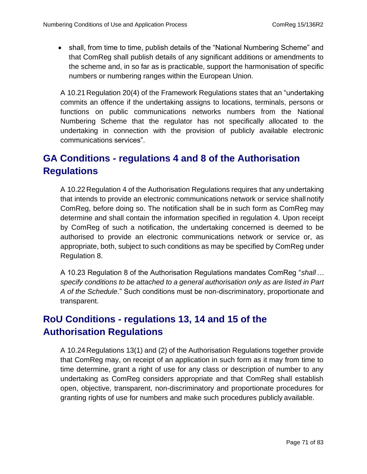• shall, from time to time, publish details of the "National Numbering Scheme" and that ComReg shall publish details of any significant additions or amendments to the scheme and, in so far as is practicable, support the harmonisation of specific numbers or numbering ranges within the European Union.

A 10.21 Regulation 20(4) of the Framework Regulations states that an "undertaking commits an offence if the undertaking assigns to locations, terminals, persons or functions on public communications networks numbers from the National Numbering Scheme that the regulator has not specifically allocated to the undertaking in connection with the provision of publicly available electronic communications services".

# **GA Conditions - regulations 4 and 8 of the Authorisation Regulations**

A 10.22 Regulation 4 of the Authorisation Regulations requires that any undertaking that intends to provide an electronic communications network or service shallnotify ComReg, before doing so. The notification shall be in such form as ComReg may determine and shall contain the information specified in regulation 4. Upon receipt by ComReg of such a notification, the undertaking concerned is deemed to be authorised to provide an electronic communications network or service or, as appropriate, both, subject to such conditions as may be specified by ComReg under Regulation 8.

A 10.23 Regulation 8 of the Authorisation Regulations mandates ComReg "*shall… specify conditions to be attached to a general authorisation only as are listed in Part A of the Schedule*." Such conditions must be non-discriminatory, proportionate and transparent.

# **RoU Conditions - regulations 13, 14 and 15 of the Authorisation Regulations**

A 10.24 Regulations 13(1) and (2) of the Authorisation Regulations together provide that ComReg may, on receipt of an application in such form as it may from time to time determine, grant a right of use for any class or description of number to any undertaking as ComReg considers appropriate and that ComReg shall establish open, objective, transparent, non-discriminatory and proportionate procedures for granting rights of use for numbers and make such procedures publicly available.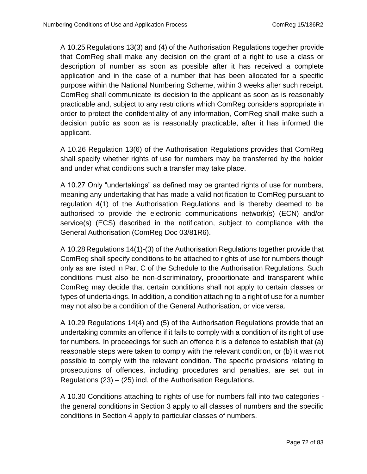A 10.25 Regulations 13(3) and (4) of the Authorisation Regulations together provide that ComReg shall make any decision on the grant of a right to use a class or description of number as soon as possible after it has received a complete application and in the case of a number that has been allocated for a specific purpose within the National Numbering Scheme, within 3 weeks after such receipt. ComReg shall communicate its decision to the applicant as soon as is reasonably practicable and, subject to any restrictions which ComReg considers appropriate in order to protect the confidentiality of any information, ComReg shall make such a decision public as soon as is reasonably practicable, after it has informed the applicant.

A 10.26 Regulation 13(6) of the Authorisation Regulations provides that ComReg shall specify whether rights of use for numbers may be transferred by the holder and under what conditions such a transfer may take place.

A 10.27 Only "undertakings" as defined may be granted rights of use for numbers, meaning any undertaking that has made a valid notification to ComReg pursuant to regulation 4(1) of the Authorisation Regulations and is thereby deemed to be authorised to provide the electronic communications network(s) (ECN) and/or service(s) (ECS) described in the notification, subject to compliance with the General Authorisation (ComReg Doc 03/81R6).

A 10.28 Regulations 14(1)-(3) of the Authorisation Regulations together provide that ComReg shall specify conditions to be attached to rights of use for numbers though only as are listed in Part C of the Schedule to the Authorisation Regulations. Such conditions must also be non-discriminatory, proportionate and transparent while ComReg may decide that certain conditions shall not apply to certain classes or types of undertakings. In addition, a condition attaching to a right of use for a number may not also be a condition of the General Authorisation, or vice versa.

A 10.29 Regulations 14(4) and (5) of the Authorisation Regulations provide that an undertaking commits an offence if it fails to comply with a condition of its right of use for numbers. In proceedings for such an offence it is a defence to establish that (a) reasonable steps were taken to comply with the relevant condition, or (b) it was not possible to comply with the relevant condition. The specific provisions relating to prosecutions of offences, including procedures and penalties, are set out in Regulations (23) – (25) incl. of the Authorisation Regulations.

A 10.30 Conditions attaching to rights of use for numbers fall into two categories the general conditions in Section 3 apply to all classes of numbers and the specific conditions in Section 4 apply to particular classes of numbers.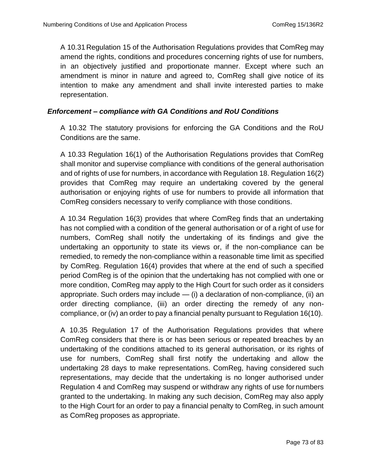A 10.31 Regulation 15 of the Authorisation Regulations provides that ComReg may amend the rights, conditions and procedures concerning rights of use for numbers, in an objectively justified and proportionate manner. Except where such an amendment is minor in nature and agreed to, ComReg shall give notice of its intention to make any amendment and shall invite interested parties to make representation.

## *Enforcement – compliance with GA Conditions and RoU Conditions*

A 10.32 The statutory provisions for enforcing the GA Conditions and the RoU Conditions are the same.

A 10.33 Regulation 16(1) of the Authorisation Regulations provides that ComReg shall monitor and supervise compliance with conditions of the general authorisation and of rights of use for numbers, in accordance with Regulation 18. Regulation 16(2) provides that ComReg may require an undertaking covered by the general authorisation or enjoying rights of use for numbers to provide all information that ComReg considers necessary to verify compliance with those conditions.

A 10.34 Regulation 16(3) provides that where ComReg finds that an undertaking has not complied with a condition of the general authorisation or of a right of use for numbers, ComReg shall notify the undertaking of its findings and give the undertaking an opportunity to state its views or, if the non-compliance can be remedied, to remedy the non-compliance within a reasonable time limit as specified by ComReg. Regulation 16(4) provides that where at the end of such a specified period ComReg is of the opinion that the undertaking has not complied with one or more condition, ComReg may apply to the High Court for such order as it considers appropriate. Such orders may include  $-$  (i) a declaration of non-compliance, (ii) an order directing compliance, (iii) an order directing the remedy of any noncompliance, or (iv) an order to pay a financial penalty pursuant to Regulation 16(10).

A 10.35 Regulation 17 of the Authorisation Regulations provides that where ComReg considers that there is or has been serious or repeated breaches by an undertaking of the conditions attached to its general authorisation, or its rights of use for numbers, ComReg shall first notify the undertaking and allow the undertaking 28 days to make representations. ComReg, having considered such representations, may decide that the undertaking is no longer authorised under Regulation 4 and ComReg may suspend or withdraw any rights of use for numbers granted to the undertaking. In making any such decision, ComReg may also apply to the High Court for an order to pay a financial penalty to ComReg, in such amount as ComReg proposes as appropriate.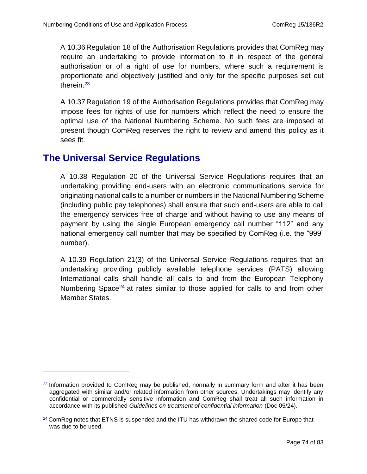A 10.36 Regulation 18 of the Authorisation Regulations provides that ComReg may require an undertaking to provide information to it in respect of the general authorisation or of a right of use for numbers, where such a requirement is proportionate and objectively justified and only for the specific purposes set out therein.<sup>23</sup>

A 10.37 Regulation 19 of the Authorisation Regulations provides that ComReg may impose fees for rights of use for numbers which reflect the need to ensure the optimal use of the National Numbering Scheme. No such fees are imposed at present though ComReg reserves the right to review and amend this policy as it sees fit.

## **The Universal Service Regulations**

A 10.38 Regulation 20 of the Universal Service Regulations requires that an undertaking providing end-users with an electronic communications service for originating national calls to a number or numbers in the National Numbering Scheme (including public pay telephones) shall ensure that such end-users are able to call the emergency services free of charge and without having to use any means of payment by using the single European emergency call number "112" and any national emergency call number that may be specified by ComReg (i.e. the "999" number).

A 10.39 Regulation 21(3) of the Universal Service Regulations requires that an undertaking providing publicly available telephone services (PATS) allowing International calls shall handle all calls to and from the European Telephony Numbering Space<sup>24</sup> at rates similar to those applied for calls to and from other Member States.

<sup>&</sup>lt;sup>23</sup> Information provided to ComReg may be published, normally in summary form and after it has been aggregated with similar and/or related information from other sources. Undertakings may identify any confidential or commercially sensitive information and ComReg shall treat all such information in accordance with its published *Guidelines on treatment of confidential information* (Doc 05/24).

 $24$  ComReg notes that ETNS is suspended and the ITU has withdrawn the shared code for Europe that was due to be used.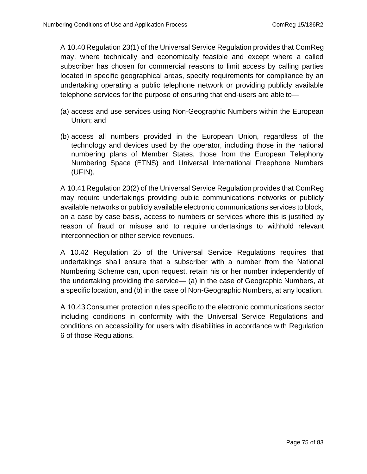A 10.40 Regulation 23(1) of the Universal Service Regulation provides that ComReg may, where technically and economically feasible and except where a called subscriber has chosen for commercial reasons to limit access by calling parties located in specific geographical areas, specify requirements for compliance by an undertaking operating a public telephone network or providing publicly available telephone services for the purpose of ensuring that end-users are able to—

- (a) access and use services using Non-Geographic Numbers within the European Union; and
- (b) access all numbers provided in the European Union, regardless of the technology and devices used by the operator, including those in the national numbering plans of Member States, those from the European Telephony Numbering Space (ETNS) and Universal International Freephone Numbers (UFIN).

A 10.41 Regulation 23(2) of the Universal Service Regulation provides that ComReg may require undertakings providing public communications networks or publicly available networks or publicly available electronic communications services to block, on a case by case basis, access to numbers or services where this is justified by reason of fraud or misuse and to require undertakings to withhold relevant interconnection or other service revenues.

A 10.42 Regulation 25 of the Universal Service Regulations requires that undertakings shall ensure that a subscriber with a number from the National Numbering Scheme can, upon request, retain his or her number independently of the undertaking providing the service— (a) in the case of Geographic Numbers, at a specific location, and (b) in the case of Non-Geographic Numbers, at any location.

A 10.43 Consumer protection rules specific to the electronic communications sector including conditions in conformity with the Universal Service Regulations and conditions on accessibility for users with disabilities in accordance with Regulation 6 of those Regulations.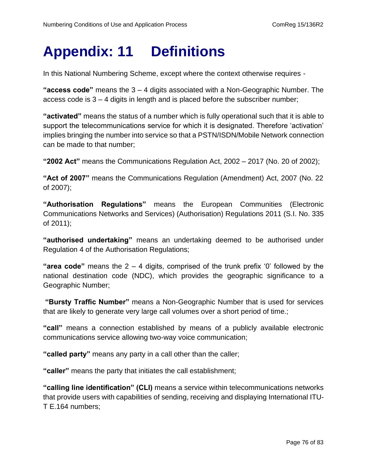# **Appendix: 11 Definitions**

In this National Numbering Scheme, except where the context otherwise requires -

**"access code"** means the 3 – 4 digits associated with a Non-Geographic Number. The access code is 3 – 4 digits in length and is placed before the subscriber number;

**"activated"** means the status of a number which is fully operational such that it is able to support the telecommunications service for which it is designated. Therefore 'activation' implies bringing the number into service so that a PSTN/ISDN/Mobile Network connection can be made to that number;

**"2002 Act"** means the Communications Regulation Act, 2002 – 2017 (No. 20 of 2002);

**"Act of 2007"** means the Communications Regulation (Amendment) Act, 2007 (No. 22 of 2007);

**"Authorisation Regulations"** means the European Communities (Electronic Communications Networks and Services) (Authorisation) Regulations 2011 (S.I. No. 335 of 2011);

**"authorised undertaking"** means an undertaking deemed to be authorised under Regulation 4 of the Authorisation Regulations;

**"area code"** means the 2 – 4 digits, comprised of the trunk prefix '0' followed by the national destination code (NDC), which provides the geographic significance to a Geographic Number;

**"Bursty Traffic Number"** means a Non-Geographic Number that is used for services that are likely to generate very large call volumes over a short period of time.;

**"call"** means a connection established by means of a publicly available electronic communications service allowing two-way voice communication;

**"called party"** means any party in a call other than the caller;

**"caller"** means the party that initiates the call establishment;

**"calling line identification" (CLI)** means a service within telecommunications networks that provide users with capabilities of sending, receiving and displaying International ITU-T E.164 numbers;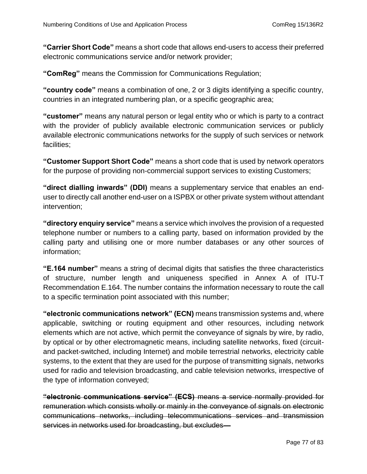**"Carrier Short Code"** means a short code that allows end-users to access their preferred electronic communications service and/or network provider;

**"ComReg"** means the Commission for Communications Regulation;

**"country code"** means a combination of one, 2 or 3 digits identifying a specific country, countries in an integrated numbering plan, or a specific geographic area;

**"customer"** means any natural person or legal entity who or which is party to a contract with the provider of publicly available electronic communication services or publicly available electronic communications networks for the supply of such services or network facilities;

**"Customer Support Short Code"** means a short code that is used by network operators for the purpose of providing non-commercial support services to existing Customers;

**"direct dialling inwards" (DDI)** means a supplementary service that enables an enduser to directly call another end-user on a ISPBX or other private system without attendant intervention;

**"directory enquiry service"** means a service which involves the provision of a requested telephone number or numbers to a calling party, based on information provided by the calling party and utilising one or more number databases or any other sources of information;

**"E.164 number"** means a string of decimal digits that satisfies the three characteristics of structure, number length and uniqueness specified in Annex A of ITU-T Recommendation E.164. The number contains the information necessary to route the call to a specific termination point associated with this number;

**"electronic communications network" (ECN)** means transmission systems and, where applicable, switching or routing equipment and other resources, including network elements which are not active, which permit the conveyance of signals by wire, by radio, by optical or by other electromagnetic means, including satellite networks, fixed (circuitand packet-switched, including Internet) and mobile terrestrial networks, electricity cable systems, to the extent that they are used for the purpose of transmitting signals, networks used for radio and television broadcasting, and cable television networks, irrespective of the type of information conveyed;

**"electronic communications service" (ECS)** means a service normally provided for remuneration which consists wholly or mainly in the conveyance of signals on electronic communications networks, including telecommunications services and transmission services in networks used for broadcasting, but excludes-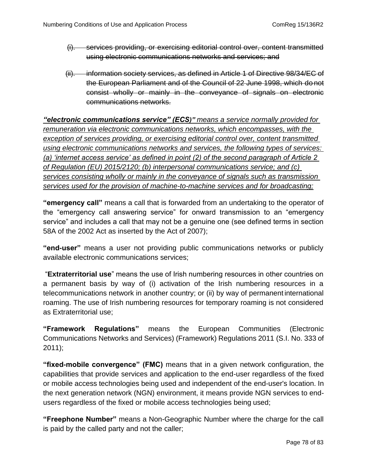- (i). services providing, or exercising editorial control over, content transmitted using electronic communications networks and services; and
- (ii). information society services, as defined in Article 1 of Directive 98/34/EC of the European Parliament and of the Council of 22 June 1998, which do not consist wholly or mainly in the conveyance of signals on electronic communications networks.

*"electronic communications service" (ECS)" means a service normally provided for remuneration via electronic communications networks, which encompasses, with the exception of services providing, or exercising editorial control over, content transmitted using electronic communications networks and services, the following types of services: (a) 'internet access service' as defined in point (2) of the second paragraph of Article 2 of Regulation (EU) 2015/2120; (b) interpersonal communications service; and (c) services consisting wholly or mainly in the conveyance of signals such as transmission services used for the provision of machine-to-machine services and for broadcasting;*

**"emergency call"** means a call that is forwarded from an undertaking to the operator of the "emergency call answering service" for onward transmission to an "emergency service" and includes a call that may not be a genuine one (see defined terms in section 58A of the 2002 Act as inserted by the Act of 2007);

**"end-user"** means a user not providing public communications networks or publicly available electronic communications services;

"**Extraterritorial use**" means the use of Irish numbering resources in other countries on a permanent basis by way of (i) activation of the Irish numbering resources in a telecommunications network in another country; or (ii) by way of permanent international roaming. The use of Irish numbering resources for temporary roaming is not considered as Extraterritorial use;

**"Framework Regulations"** means the European Communities (Electronic Communications Networks and Services) (Framework) Regulations 2011 (S.I. No. 333 of 2011);

**"fixed-mobile convergence" (FMC)** means that in a given network configuration, the capabilities that provide services and application to the end-user regardless of the fixed or mobile access technologies being used and independent of the end-user's location. In the next generation network (NGN) environment, it means provide NGN services to endusers regardless of the fixed or mobile access technologies being used;

**"Freephone Number"** means a Non-Geographic Number where the charge for the call is paid by the called party and not the caller;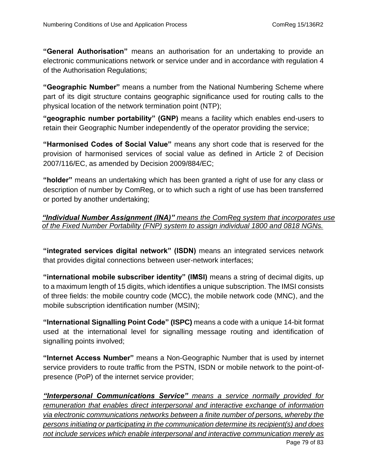**"General Authorisation"** means an authorisation for an undertaking to provide an electronic communications network or service under and in accordance with regulation 4 of the Authorisation Regulations;

**"Geographic Number"** means a number from the National Numbering Scheme where part of its digit structure contains geographic significance used for routing calls to the physical location of the network termination point (NTP);

**"geographic number portability" (GNP)** means a facility which enables end-users to retain their Geographic Number independently of the operator providing the service;

**"Harmonised Codes of Social Value"** means any short code that is reserved for the provision of harmonised services of social value as defined in Article 2 of Decision 2007/116/EC, as amended by Decision 2009/884/EC;

**"holder"** means an undertaking which has been granted a right of use for any class or description of number by ComReg, or to which such a right of use has been transferred or ported by another undertaking;

*"Individual Number Assignment (INA)" means the ComReg system that incorporates use of the Fixed Number Portability (FNP) system to assign individual 1800 and 0818 NGNs.*

**"integrated services digital network" (ISDN)** means an integrated services network that provides digital connections between user-network interfaces;

**"international mobile subscriber identity" (IMSI)** means a string of decimal digits, up to a maximum length of 15 digits, which identifies a unique subscription. The IMSI consists of three fields: the mobile country code (MCC), the mobile network code (MNC), and the mobile subscription identification number (MSIN);

**"International Signalling Point Code" (ISPC)** means a code with a unique 14-bit format used at the international level for signalling message routing and identification of signalling points involved;

**"Internet Access Number"** means a Non-Geographic Number that is used by internet service providers to route traffic from the PSTN, ISDN or mobile network to the point-ofpresence (PoP) of the internet service provider;

Page 79 of 83 *"Interpersonal Communications Service" means a service normally provided for remuneration that enables direct interpersonal and interactive exchange of information via electronic communications networks between a finite number of persons, whereby the persons initiating or participating in the communication determine its recipient(s) and does not include services which enable interpersonal and interactive communication merely as*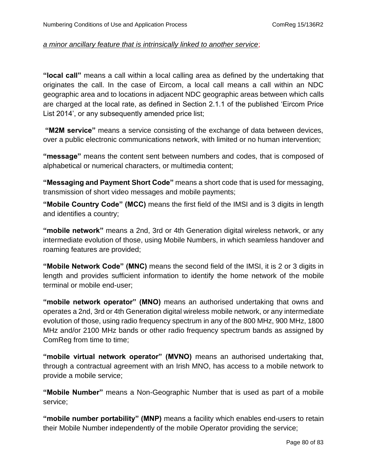#### *a minor ancillary feature that is intrinsically linked to another service*;

**"local call"** means a call within a local calling area as defined by the undertaking that originates the call. In the case of Eircom, a local call means a call within an NDC geographic area and to locations in adjacent NDC geographic areas between which calls are charged at the local rate, as defined in Section 2.1.1 of the published 'Eircom Price List 2014', or any subsequently amended price list;

**"M2M service"** means a service consisting of the exchange of data between devices, over a public electronic communications network, with limited or no human intervention;

**"message"** means the content sent between numbers and codes, that is composed of alphabetical or numerical characters, or multimedia content;

**"Messaging and Payment Short Code"** means a short code that is used for messaging, transmission of short video messages and mobile payments;

**"Mobile Country Code" (MCC)** means the first field of the IMSI and is 3 digits in length and identifies a country;

**"mobile network"** means a 2nd, 3rd or 4th Generation digital wireless network, or any intermediate evolution of those, using Mobile Numbers, in which seamless handover and roaming features are provided;

**"Mobile Network Code" (MNC)** means the second field of the IMSI, it is 2 or 3 digits in length and provides sufficient information to identify the home network of the mobile terminal or mobile end-user;

**"mobile network operator" (MNO)** means an authorised undertaking that owns and operates a 2nd, 3rd or 4th Generation digital wireless mobile network, or any intermediate evolution of those, using radio frequency spectrum in any of the 800 MHz, 900 MHz, 1800 MHz and/or 2100 MHz bands or other radio frequency spectrum bands as assigned by ComReg from time to time;

**"mobile virtual network operator" (MVNO)** means an authorised undertaking that, through a contractual agreement with an Irish MNO, has access to a mobile network to provide a mobile service;

**"Mobile Number"** means a Non-Geographic Number that is used as part of a mobile service;

**"mobile number portability" (MNP)** means a facility which enables end-users to retain their Mobile Number independently of the mobile Operator providing the service;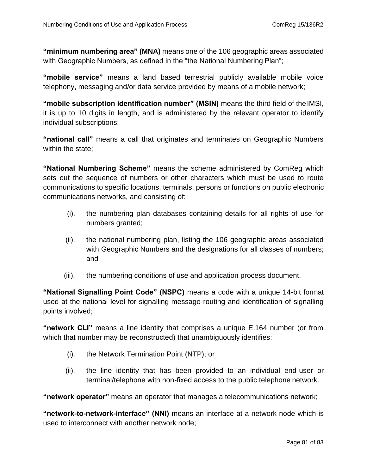**"minimum numbering area" (MNA)** means one of the 106 geographic areas associated with Geographic Numbers, as defined in the "the National Numbering Plan";

**"mobile service"** means a land based terrestrial publicly available mobile voice telephony, messaging and/or data service provided by means of a mobile network;

**"mobile subscription identification number" (MSIN)** means the third field of theIMSI, it is up to 10 digits in length, and is administered by the relevant operator to identify individual subscriptions;

**"national call"** means a call that originates and terminates on Geographic Numbers within the state;

**"National Numbering Scheme"** means the scheme administered by ComReg which sets out the sequence of numbers or other characters which must be used to route communications to specific locations, terminals, persons or functions on public electronic communications networks, and consisting of:

- (i). the numbering plan databases containing details for all rights of use for numbers granted;
- (ii). the national numbering plan, listing the 106 geographic areas associated with Geographic Numbers and the designations for all classes of numbers; and
- (iii). the numbering conditions of use and application process document.

**"National Signalling Point Code" (NSPC)** means a code with a unique 14-bit format used at the national level for signalling message routing and identification of signalling points involved;

**"network CLI"** means a line identity that comprises a unique E.164 number (or from which that number may be reconstructed) that unambiguously identifies:

- (i). the Network Termination Point (NTP); or
- (ii). the line identity that has been provided to an individual end-user or terminal/telephone with non-fixed access to the public telephone network.

**"network operator"** means an operator that manages a telecommunications network;

**"network-to-network-interface" (NNI)** means an interface at a network node which is used to interconnect with another network node;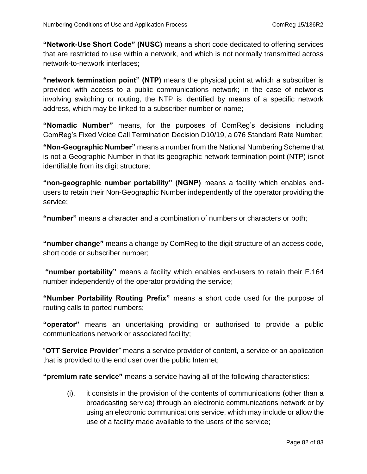**"Network-Use Short Code" (NUSC)** means a short code dedicated to offering services that are restricted to use within a network, and which is not normally transmitted across network-to-network interfaces;

**"network termination point" (NTP)** means the physical point at which a subscriber is provided with access to a public communications network; in the case of networks involving switching or routing, the NTP is identified by means of a specific network address, which may be linked to a subscriber number or name;

**"Nomadic Number"** means, for the purposes of ComReg's decisions including ComReg's Fixed Voice Call Termination Decision D10/19, a 076 Standard Rate Number;

**"Non-Geographic Number"** means a number from the National Numbering Scheme that is not a Geographic Number in that its geographic network termination point (NTP) isnot identifiable from its digit structure;

**"non-geographic number portability" (NGNP)** means a facility which enables endusers to retain their Non-Geographic Number independently of the operator providing the service;

**"number"** means a character and a combination of numbers or characters or both;

**"number change"** means a change by ComReg to the digit structure of an access code, short code or subscriber number;

**"number portability"** means a facility which enables end-users to retain their E.164 number independently of the operator providing the service;

**"Number Portability Routing Prefix"** means a short code used for the purpose of routing calls to ported numbers;

**"operator"** means an undertaking providing or authorised to provide a public communications network or associated facility;

"**OTT Service Provider**" means a service provider of content, a service or an application that is provided to the end user over the public Internet;

**"premium rate service"** means a service having all of the following characteristics:

(i). it consists in the provision of the contents of communications (other than a broadcasting service) through an electronic communications network or by using an electronic communications service, which may include or allow the use of a facility made available to the users of the service;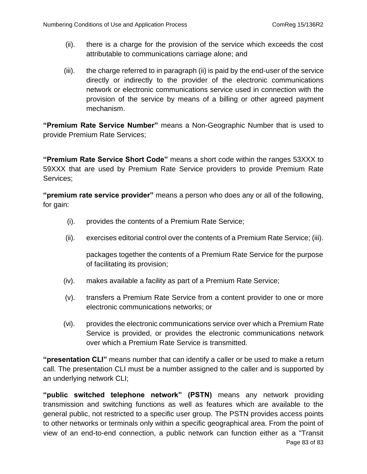- (ii). there is a charge for the provision of the service which exceeds the cost attributable to communications carriage alone; and
- (iii). the charge referred to in paragraph (ii) is paid by the end-user of the service directly or indirectly to the provider of the electronic communications network or electronic communications service used in connection with the provision of the service by means of a billing or other agreed payment mechanism.

**"Premium Rate Service Number"** means a Non-Geographic Number that is used to provide Premium Rate Services;

**"Premium Rate Service Short Code"** means a short code within the ranges 53XXX to 59XXX that are used by Premium Rate Service providers to provide Premium Rate Services;

**"premium rate service provider"** means a person who does any or all of the following, for gain:

- (i). provides the contents of a Premium Rate Service;
- (ii). exercises editorial control over the contents of a Premium Rate Service; (iii).

packages together the contents of a Premium Rate Service for the purpose of facilitating its provision;

- (iv). makes available a facility as part of a Premium Rate Service;
- (v). transfers a Premium Rate Service from a content provider to one or more electronic communications networks; or
- (vi). provides the electronic communications service over which a Premium Rate Service is provided, or provides the electronic communications network over which a Premium Rate Service is transmitted.

**"presentation CLI"** means number that can identify a caller or be used to make a return call. The presentation CLI must be a number assigned to the caller and is supported by an underlying network CLI;

Page 83 of 83 **"public switched telephone network" (PSTN)** means any network providing transmission and switching functions as well as features which are available to the general public, not restricted to a specific user group. The PSTN provides access points to other networks or terminals only within a specific geographical area. From the point of view of an end-to-end connection, a public network can function either as a "Transit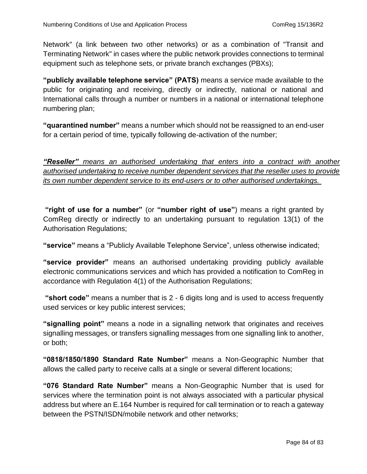Network" (a link between two other networks) or as a combination of "Transit and Terminating Network" in cases where the public network provides connections to terminal equipment such as telephone sets, or private branch exchanges (PBXs);

**"publicly available telephone service" (PATS)** means a service made available to the public for originating and receiving, directly or indirectly, national or national and International calls through a number or numbers in a national or international telephone numbering plan;

**"quarantined number"** means a number which should not be reassigned to an end-user for a certain period of time, typically following de-activation of the number;

*"Reseller" means an authorised undertaking that enters into a contract with another authorised undertaking to receive number dependent services that the reseller uses to provide its own number dependent service to its end-users or to other authorised undertakings.* 

**"right of use for a number"** (or **"number right of use"**) means a right granted by ComReg directly or indirectly to an undertaking pursuant to regulation 13(1) of the Authorisation Regulations;

**"service"** means a "Publicly Available Telephone Service", unless otherwise indicated;

**"service provider"** means an authorised undertaking providing publicly available electronic communications services and which has provided a notification to ComReg in accordance with Regulation 4(1) of the Authorisation Regulations;

**"short code"** means a number that is 2 - 6 digits long and is used to access frequently used services or key public interest services;

**"signalling point"** means a node in a signalling network that originates and receives signalling messages, or transfers signalling messages from one signalling link to another, or both;

**"0818/1850/1890 Standard Rate Number"** means a Non-Geographic Number that allows the called party to receive calls at a single or several different locations;

**"076 Standard Rate Number"** means a Non-Geographic Number that is used for services where the termination point is not always associated with a particular physical address but where an E.164 Number is required for call termination or to reach a gateway between the PSTN/ISDN/mobile network and other networks;